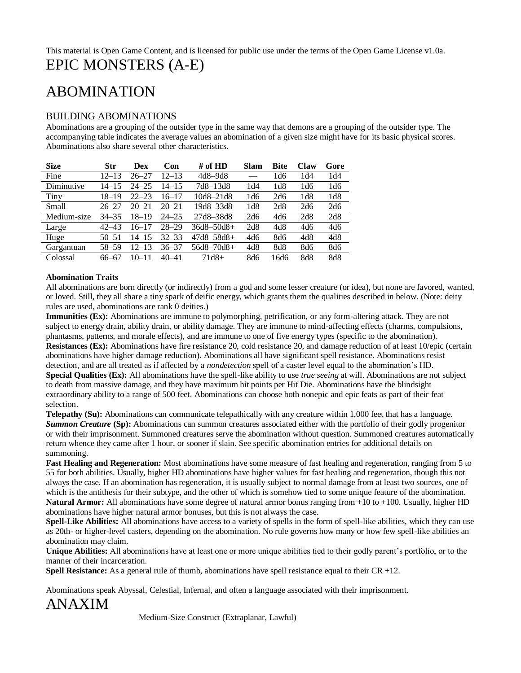# ABOMINATION

### BUILDING ABOMINATIONS

Abominations are a grouping of the outsider type in the same way that demons are a grouping of the outsider type. The accompanying table indicates the average values an abomination of a given size might have for its basic physical scores. Abominations also share several other characteristics.

| <b>Size</b> | Str       | Dex       | Con       | # of HD         | <b>Slam</b> | <b>Bite</b> | Claw | Gore |
|-------------|-----------|-----------|-----------|-----------------|-------------|-------------|------|------|
| Fine        | 12–13     | $26 - 27$ | 12–13     | $4d8 - 9d8$     |             | 1d6         | 1d4  | 1d4  |
| Diminutive  | $14 - 15$ | $24 - 25$ | 14–15     | 7d8–13d8        | 1d4         | 1d8         | 1d6  | 1d6  |
| Tiny        | 18–19     | $22 - 23$ | $16 - 17$ | 10d8-21d8       | 1d6         | 2d6         | 1d8  | 1d8  |
| Small       | $26 - 27$ | $20 - 21$ | $20 - 21$ | 19d8-33d8       | 1d8         | 2d8         | 2d6  | 2d6  |
| Medium-size | $34 - 35$ | 18–19     | $24 - 25$ | 27d8-38d8       | 2d6         | 4d6         | 2d8  | 2d8  |
| Large       | $42 - 43$ | $16 - 17$ | $28 - 29$ | $36d8 - 50d8 +$ | 2d8         | 4d8         | 4d6  | 4d6  |
| Huge        | $50 - 51$ | 14–15     | $32 - 33$ | $47d8 - 58d8 +$ | 4d6         | 8d6         | 4d8  | 4d8  |
| Gargantuan  | 58-59     | 12–13     | 36–37     | $56d8 - 70d8 +$ | 4d8         | 8d8         | 8d6  | 8d6  |
| Colossal    | 66–67     | $10 - 11$ | $40 - 41$ | 71d8+           | 8d6         | 16d6        | 8d8  | 8d8  |

### **Abomination Traits**

All abominations are born directly (or indirectly) from a god and some lesser creature (or idea), but none are favored, wanted, or loved. Still, they all share a tiny spark of deific energy, which grants them the qualities described in below. (Note: deity rules are used*,* abominations are rank 0 deities.)

**Immunities (Ex):** Abominations are immune to polymorphing, petrification, or any form-altering attack. They are not subject to energy drain, ability drain, or ability damage. They are immune to mind-affecting effects (charms, compulsions, phantasms, patterns, and morale effects), and are immune to one of five energy types (specific to the abomination). **Resistances (Ex):** Abominations have fire resistance 20, cold resistance 20, and damage reduction of at least 10/epic (certain abominations have higher damage reduction). Abominations all have significant spell resistance. Abominations resist detection, and are all treated as if affected by a *nondetection* spell of a caster level equal to the abomination's HD. **Special Qualities (Ex):** All abominations have the spell-like ability to use *true seeing* at will. Abominations are not subject to death from massive damage, and they have maximum hit points per Hit Die. Abominations have the blindsight extraordinary ability to a range of 500 feet. Abominations can choose both nonepic and epic feats as part of their feat selection.

**Telepathy (Su):** Abominations can communicate telepathically with any creature within 1,000 feet that has a language. *Summon Creature* (Sp): Abominations can summon creatures associated either with the portfolio of their godly progenitor or with their imprisonment. Summoned creatures serve the abomination without question. Summoned creatures automatically return whence they came after 1 hour, or sooner if slain. See specific abomination entries for additional details on summoning.

**Fast Healing and Regeneration:** Most abominations have some measure of fast healing and regeneration, ranging from 5 to 55 for both abilities. Usually, higher HD abominations have higher values for fast healing and regeneration, though this not always the case. If an abomination has regeneration, it is usually subject to normal damage from at least two sources, one of which is the antithesis for their subtype, and the other of which is somehow tied to some unique feature of the abomination. **Natural Armor:** All abominations have some degree of natural armor bonus ranging from +10 to +100. Usually, higher HD abominations have higher natural armor bonuses, but this is not always the case.

**Spell-Like Abilities:** All abominations have access to a variety of spells in the form of spell-like abilities, which they can use as 20th- or higher-level casters, depending on the abomination. No rule governs how many or how few spell-like abilities an abomination may claim.

**Unique Abilities:** All abominations have at least one or more unique abilities tied to their godly parent's portfolio, or to the manner of their incarceration.

**Spell Resistance:** As a general rule of thumb, abominations have spell resistance equal to their CR +12.

Abominations speak Abyssal, Celestial, Infernal, and often a language associated with their imprisonment.

ANAXIM

Medium-Size Construct (Extraplanar, Lawful)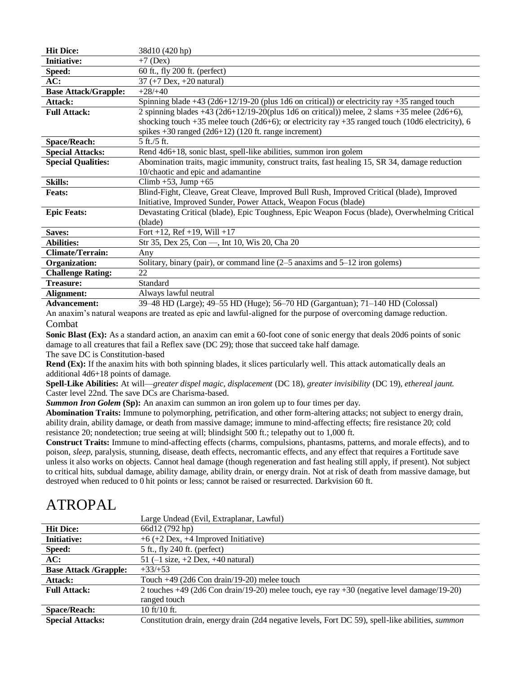| <b>Hit Dice:</b>            | 38d10 (420 hp)                                                                                        |
|-----------------------------|-------------------------------------------------------------------------------------------------------|
| <b>Initiative:</b>          | $+7$ (Dex)                                                                                            |
| Speed:                      | 60 ft., fly 200 ft. (perfect)                                                                         |
| AC:                         | $37 (+7 \text{ Dev}, +20 \text{ natural})$                                                            |
| <b>Base Attack/Grapple:</b> | $+28/+40$                                                                                             |
| Attack:                     | Spinning blade +43 (2d6+12/19-20 (plus 1d6 on critical)) or electricity ray +35 ranged touch          |
| <b>Full Attack:</b>         | 2 spinning blades $+43$ (2d6+12/19-20(plus 1d6 on critical)) melee, 2 slams $+35$ melee (2d6+6),      |
|                             | shocking touch $+35$ melee touch (2d6+6); or electricity ray $+35$ ranged touch (10d6 electricity), 6 |
|                             | spikes $+30$ ranged (2d6+12) (120 ft. range increment)                                                |
| <b>Space/Reach:</b>         | $5 \text{ ft}$ ./5 ft.                                                                                |
| <b>Special Attacks:</b>     | Rend 4d6+18, sonic blast, spell-like abilities, summon iron golem                                     |
| <b>Special Qualities:</b>   | Abomination traits, magic immunity, construct traits, fast healing 15, SR 34, damage reduction        |
|                             | 10/chaotic and epic and adamantine                                                                    |
| <b>Skills:</b>              | Climb +53, Jump +65                                                                                   |
| <b>Feats:</b>               | Blind-Fight, Cleave, Great Cleave, Improved Bull Rush, Improved Critical (blade), Improved            |
|                             | Initiative, Improved Sunder, Power Attack, Weapon Focus (blade)                                       |
| <b>Epic Feats:</b>          | Devastating Critical (blade), Epic Toughness, Epic Weapon Focus (blade), Overwhelming Critical        |
|                             | (blade)                                                                                               |
| Saves:                      | Fort +12, Ref +19, Will +17                                                                           |
| <b>Abilities:</b>           | Str 35, Dex 25, Con -, Int 10, Wis 20, Cha 20                                                         |
| <b>Climate/Terrain:</b>     | Any                                                                                                   |
| Organization:               | Solitary, binary (pair), or command line $(2-5)$ anaxims and $5-12$ iron golems)                      |
| <b>Challenge Rating:</b>    | 22                                                                                                    |
| Treasure:                   | Standard                                                                                              |
| Alignment:                  | Always lawful neutral                                                                                 |
| <b>Advancement:</b>         | 39–48 HD (Large); 49–55 HD (Huge); 56–70 HD (Gargantuan); 71–140 HD (Colossal)                        |

An anaxim's natural weapons are treated as epic and lawful-aligned for the purpose of overcoming damage reduction. Combat

**Sonic Blast (Ex):** As a standard action, an anaxim can emit a 60-foot cone of sonic energy that deals 20d6 points of sonic damage to all creatures that fail a Reflex save (DC 29); those that succeed take half damage.

The save DC is Constitution-based **Rend (Ex):** If the anaxim hits with both spinning blades, it slices particularly well. This attack automatically deals an

additional 4d6+18 points of damage.

**Spell-Like Abilities:** At will—*greater dispel magic, displacement* (DC 18)*, greater invisibility* (DC 19)*, ethereal jaunt.*  Caster level 22nd. The save DCs are Charisma-based.

**Summon Iron Golem (Sp):** An anaxim can summon an iron golem up to four times per day.

**Abomination Traits:** Immune to polymorphing, petrification, and other form-altering attacks; not subject to energy drain, ability drain, ability damage, or death from massive damage; immune to mind-affecting effects; fire resistance 20; cold resistance 20; nondetection; true seeing at will; blindsight 500 ft.; telepathy out to 1,000 ft.

**Construct Traits:** Immune to mind-affecting effects (charms, compulsions, phantasms, patterns, and morale effects), and to poison, *sleep,* paralysis, stunning, disease, death effects, necromantic effects, and any effect that requires a Fortitude save unless it also works on objects. Cannot heal damage (though regeneration and fast healing still apply, if present). Not subject to critical hits, subdual damage, ability damage, ability drain, or energy drain. Not at risk of death from massive damage, but destroyed when reduced to 0 hit points or less; cannot be raised or resurrected. Darkvision 60 ft.

# ATROPAL

|                              | Large Undead (Evil, Extraplanar, Lawful)                                                                |
|------------------------------|---------------------------------------------------------------------------------------------------------|
| <b>Hit Dice:</b>             | 66d12 (792 hp)                                                                                          |
| <b>Initiative:</b>           | $+6$ (+2 Dex, +4 Improved Initiative)                                                                   |
| Speed:                       | 5 ft., fly 240 ft. (perfect)                                                                            |
| AC:                          | 51 $(-1 \text{ size}, +2 \text{ Dev}, +40 \text{ natural})$                                             |
| <b>Base Attack /Grapple:</b> | $+33/+53$                                                                                               |
| Attack:                      | Touch $+49$ (2d6 Con drain/19-20) melee touch                                                           |
| <b>Full Attack:</b>          | 2 touches +49 (2d6 Con drain/19-20) melee touch, eye ray +30 (negative level damage/19-20)              |
|                              | ranged touch                                                                                            |
| <b>Space/Reach:</b>          | $10 \text{ ft}/10 \text{ ft}$ .                                                                         |
| <b>Special Attacks:</b>      | Constitution drain, energy drain (2d4 negative levels, Fort DC 59), spell-like abilities, <i>summon</i> |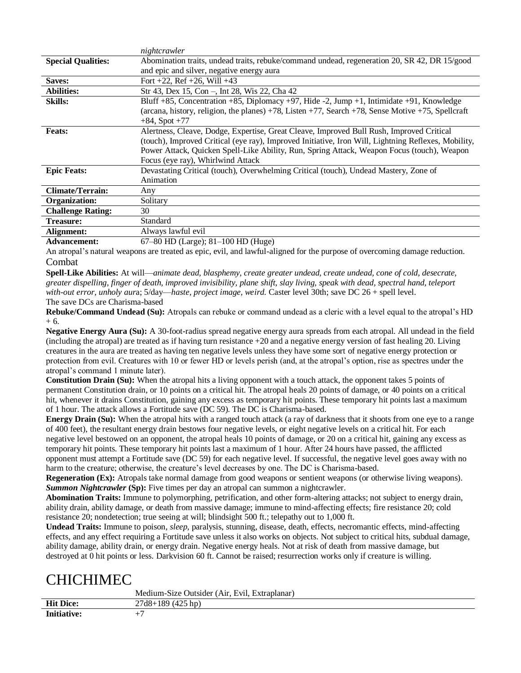|                           | nightcrawler                                                                                                                                                                                                                                                                                                                       |
|---------------------------|------------------------------------------------------------------------------------------------------------------------------------------------------------------------------------------------------------------------------------------------------------------------------------------------------------------------------------|
| <b>Special Qualities:</b> | Abomination traits, undead traits, rebuke/command undead, regeneration 20, SR 42, DR 15/good                                                                                                                                                                                                                                       |
|                           | and epic and silver, negative energy aura                                                                                                                                                                                                                                                                                          |
| Saves:                    | Fort $+22$ , Ref $+26$ , Will $+43$                                                                                                                                                                                                                                                                                                |
| <b>Abilities:</b>         | Str 43, Dex 15, Con -, Int 28, Wis 22, Cha 42                                                                                                                                                                                                                                                                                      |
| <b>Skills:</b>            | Bluff +85, Concentration +85, Diplomacy +97, Hide -2, Jump +1, Intimidate +91, Knowledge<br>(arcana, history, religion, the planes) $+78$ , Listen $+77$ , Search $+78$ , Sense Motive $+75$ , Spellcraft<br>$+84$ , Spot $+77$                                                                                                    |
| <b>Feats:</b>             | Alertness, Cleave, Dodge, Expertise, Great Cleave, Improved Bull Rush, Improved Critical<br>(touch), Improved Critical (eye ray), Improved Initiative, Iron Will, Lightning Reflexes, Mobility,<br>Power Attack, Quicken Spell-Like Ability, Run, Spring Attack, Weapon Focus (touch), Weapon<br>Focus (eye ray), Whirlwind Attack |
| <b>Epic Feats:</b>        | Devastating Critical (touch), Overwhelming Critical (touch), Undead Mastery, Zone of<br>Animation                                                                                                                                                                                                                                  |
| <b>Climate/Terrain:</b>   | Any                                                                                                                                                                                                                                                                                                                                |
| Organization:             | Solitary                                                                                                                                                                                                                                                                                                                           |
| <b>Challenge Rating:</b>  | 30                                                                                                                                                                                                                                                                                                                                 |
| <b>Treasure:</b>          | Standard                                                                                                                                                                                                                                                                                                                           |
| Alignment:                | Always lawful evil                                                                                                                                                                                                                                                                                                                 |
| <b>Advancement:</b>       | $67-80$ HD (Large); $81-100$ HD (Huge)                                                                                                                                                                                                                                                                                             |

An atropal's natural weapons are treated as epic, evil, and lawful-aligned for the purpose of overcoming damage reduction. Combat

**Spell-Like Abilities:** At will—*animate dead, blasphemy, create greater undead, create undead, cone of cold, desecrate, greater dispelling, finger of death, improved invisibility, plane shift, slay living, speak with dead, spectral hand, teleport with-out error, unholy aur*a; 5/day—*haste, project image, weird.* Caster level 30th; save DC 26 + spell level. The save DCs are Charisma-based

**Rebuke/Command Undead (Su):** Atropals can rebuke or command undead as a cleric with a level equal to the atropal's HD + 6.

**Negative Energy Aura (Su):** A 30-foot-radius spread negative energy aura spreads from each atropal. All undead in the field (including the atropal) are treated as if having turn resistance +20 and a negative energy version of fast healing 20. Living creatures in the aura are treated as having ten negative levels unless they have some sort of negative energy protection or protection from evil. Creatures with 10 or fewer HD or levels perish (and, at the atropal's option, rise as spectres under the atropal's command 1 minute later).

**Constitution Drain (Su):** When the atropal hits a living opponent with a touch attack, the opponent takes 5 points of permanent Constitution drain, or 10 points on a critical hit. The atropal heals 20 points of damage, or 40 points on a critical hit, whenever it drains Constitution, gaining any excess as temporary hit points. These temporary hit points last a maximum of 1 hour. The attack allows a Fortitude save (DC 59). The DC is Charisma-based.

**Energy Drain (Su):** When the atropal hits with a ranged touch attack (a ray of darkness that it shoots from one eye to a range of 400 feet), the resultant energy drain bestows four negative levels, or eight negative levels on a critical hit. For each negative level bestowed on an opponent, the atropal heals 10 points of damage, or 20 on a critical hit, gaining any excess as temporary hit points. These temporary hit points last a maximum of 1 hour. After 24 hours have passed, the afflicted opponent must attempt a Fortitude save (DC 59) for each negative level. If successful, the negative level goes away with no harm to the creature; otherwise, the creature's level decreases by one. The DC is Charisma-based.

**Regeneration (Ex):** Atropals take normal damage from good weapons or sentient weapons (or otherwise living weapons). **Summon Nightcrawler (Sp):** Five times per day an atropal can summon a nightcrawler.

**Abomination Traits:** Immune to polymorphing, petrification, and other form-altering attacks; not subject to energy drain, ability drain, ability damage, or death from massive damage; immune to mind-affecting effects; fire resistance 20; cold resistance 20; nondetection; true seeing at will; blindsight 500 ft.; telepathy out to 1,000 ft.

**Undead Traits:** Immune to poison, *sleep,* paralysis, stunning, disease, death, effects, necromantic effects, mind-affecting effects, and any effect requiring a Fortitude save unless it also works on objects. Not subject to critical hits, subdual damage, ability damage, ability drain, or energy drain. Negative energy heals. Not at risk of death from massive damage, but destroyed at 0 hit points or less. Darkvision 60 ft. Cannot be raised; resurrection works only if creature is willing.

# CHICHIMEC

|                    | Medium-Size Outsider (Air, Evil, Extraplanar) |
|--------------------|-----------------------------------------------|
| <b>Hit Dice:</b>   | $27d8+189(425 hp)$                            |
| <b>Initiative:</b> |                                               |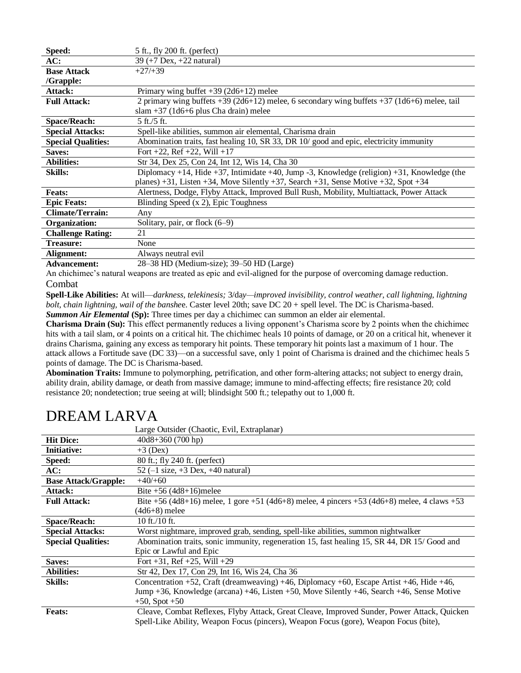| Speed:                    | 5 ft., fly 200 ft. (perfect)                                                                |
|---------------------------|---------------------------------------------------------------------------------------------|
| AC:                       | 39 $(+7 \text{ Dev}, +22 \text{ natural})$                                                  |
| <b>Base Attack</b>        | $+27/+39$                                                                                   |
| $/G$ rapple:              |                                                                                             |
| Attack:                   | Primary wing buffet $+39$ (2d6+12) melee                                                    |
| <b>Full Attack:</b>       | 2 primary wing buffets +39 (2d6+12) melee, 6 secondary wing buffets +37 (1d6+6) melee, tail |
|                           | slam $+37$ (1d6+6 plus Cha drain) melee                                                     |
| <b>Space/Reach:</b>       | $5$ ft./ $5$ ft.                                                                            |
| <b>Special Attacks:</b>   | Spell-like abilities, summon air elemental, Charisma drain                                  |
| <b>Special Qualities:</b> | Abomination traits, fast healing 10, SR 33, DR 10/good and epic, electricity immunity       |
| Saves:                    | Fort +22, Ref +22, Will +17                                                                 |
| <b>Abilities:</b>         | Str 34, Dex 25, Con 24, Int 12, Wis 14, Cha 30                                              |
| <b>Skills:</b>            | Diplomacy +14, Hide +37, Intimidate +40, Jump -3, Knowledge (religion) +31, Knowledge (the  |
|                           | planes) +31, Listen +34, Move Silently +37, Search +31, Sense Motive +32, Spot +34          |
| <b>Feats:</b>             | Alertness, Dodge, Flyby Attack, Improved Bull Rush, Mobility, Multiattack, Power Attack     |
| <b>Epic Feats:</b>        | Blinding Speed (x 2), Epic Toughness                                                        |
| <b>Climate/Terrain:</b>   | Any                                                                                         |
| Organization:             | Solitary, pair, or flock $(6-9)$                                                            |
| <b>Challenge Rating:</b>  | 21                                                                                          |
| <b>Treasure:</b>          | None                                                                                        |
| Alignment:                | Always neutral evil                                                                         |
| $\blacksquare$            | $20.20$ HD $(M, 3, \ldots, 3, 20.50$ HD $(M, \ldots)$                                       |

**Advancement:** 28–38 HD (Medium-size); 39–50 HD (Large)

An chichimec's natural weapons are treated as epic and evil-aligned for the purpose of overcoming damage reduction. Combat

**Spell-Like Abilities:** At will—*darkness, telekinesis;* 3/da*y—improved invisibility, control weather, call lightning, lightning bolt, chain lightning, wail of the banshe*e. Caster level 20th; save DC 20 + spell level. The DC is Charisma-based. **Summon Air Elemental (Sp):** Three times per day a chichimec can summon an elder air elemental.

**Charisma Drain (Su):** This effect permanently reduces a living opponent's Charisma score by 2 points when the chichimec hits with a tail slam, or 4 points on a critical hit. The chichimec heals 10 points of damage, or 20 on a critical hit, whenever it drains Charisma, gaining any excess as temporary hit points. These temporary hit points last a maximum of 1 hour. The attack allows a Fortitude save (DC 33)—on a successful save, only 1 point of Charisma is drained and the chichimec heals 5 points of damage. The DC is Charisma-based.

**Abomination Traits:** Immune to polymorphing, petrification, and other form-altering attacks; not subject to energy drain, ability drain, ability damage, or death from massive damage; immune to mind-affecting effects; fire resistance 20; cold resistance 20; nondetection; true seeing at will; blindsight 500 ft.; telepathy out to 1,000 ft.

|                             | Large Outsider (Chaotic, Evil, Extraplanar)                                                             |
|-----------------------------|---------------------------------------------------------------------------------------------------------|
| <b>Hit Dice:</b>            | $40d8+360(700 hp)$                                                                                      |
| <b>Initiative:</b>          | $+3$ (Dex)                                                                                              |
| Speed:                      | 80 ft.; fly 240 ft. (perfect)                                                                           |
| AC:                         | 52 $(-1 \text{ size}, +3 \text{ Dev}, +40 \text{ natural})$                                             |
| <b>Base Attack/Grapple:</b> | $+40/+60$                                                                                               |
| Attack:                     | Bite $+56$ (4d8+16)melee                                                                                |
| <b>Full Attack:</b>         | Bite +56 (4d8+16) melee, 1 gore +51 (4d6+8) melee, 4 pincers +53 (4d6+8) melee, 4 claws +53             |
|                             | (4d6+8) melee                                                                                           |
| <b>Space/Reach:</b>         | $10$ ft./ $10$ ft.                                                                                      |
| <b>Special Attacks:</b>     | Worst nightmare, improved grab, sending, spell-like abilities, summon nightwalker                       |
| <b>Special Qualities:</b>   | Abomination traits, sonic immunity, regeneration 15, fast healing 15, SR 44, DR 15/Good and             |
|                             | Epic or Lawful and Epic                                                                                 |
| Saves:                      | Fort $+31$ , Ref $+25$ , Will $+29$                                                                     |
| <b>Abilities:</b>           | Str 42, Dex 17, Con 29, Int 16, Wis 24, Cha 36                                                          |
| <b>Skills:</b>              | Concentration $+52$ , Craft (dreamweaving) $+46$ , Diplomacy $+60$ , Escape Artist $+46$ , Hide $+46$ , |
|                             | Jump +36, Knowledge (arcana) +46, Listen +50, Move Silently +46, Search +46, Sense Motive               |
|                             | $+50$ , Spot $+50$                                                                                      |
| <b>Feats:</b>               | Cleave, Combat Reflexes, Flyby Attack, Great Cleave, Improved Sunder, Power Attack, Quicken             |
|                             | Spell-Like Ability, Weapon Focus (pincers), Weapon Focus (gore), Weapon Focus (bite),                   |

# DREAM LARVA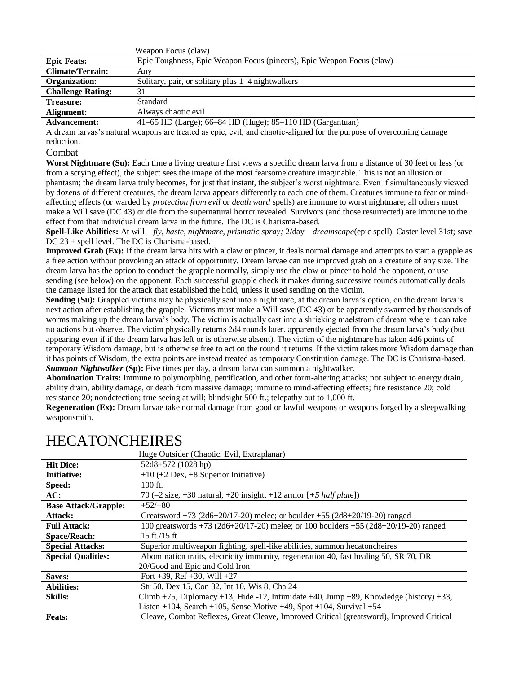|                          | Weapon Focus (claw)                                                   |
|--------------------------|-----------------------------------------------------------------------|
| <b>Epic Feats:</b>       | Epic Toughness, Epic Weapon Focus (pincers), Epic Weapon Focus (claw) |
| <b>Climate/Terrain:</b>  | Anv                                                                   |
| Organization:            | Solitary, pair, or solitary plus 1–4 nightwalkers                     |
| <b>Challenge Rating:</b> | 31                                                                    |
| <b>Treasure:</b>         | Standard                                                              |
| Alignment:               | Always chaotic evil                                                   |
| Advancement:             | $(41-65$ HD (Large): $66-84$ HD (Huge): $85-110$ HD (Gargantuan)      |

**Advancement:** 41–65 HD (Large); 66–84 HD (Huge); 85–110 HD (Gargantuan)

A dream larvas's natural weapons are treated as epic, evil, and chaotic-aligned for the purpose of overcoming damage reduction.

### Combat

**Worst Nightmare (Su):** Each time a living creature first views a specific dream larva from a distance of 30 feet or less (or from a scrying effect), the subject sees the image of the most fearsome creature imaginable. This is not an illusion or phantasm; the dream larva truly becomes, for just that instant, the subject's worst nightmare. Even if simultaneously viewed by dozens of different creatures, the dream larva appears differently to each one of them. Creatures immune to fear or mindaffecting effects (or warded by *protection from evil* or *death ward* spells) are immune to worst nightmare; all others must make a Will save (DC 43) or die from the supernatural horror revealed. Survivors (and those resurrected) are immune to the effect from that individual dream larva in the future. The DC is Charisma-based.

**Spell-Like Abilities:** At will—*fly, haste, nightmare, prismatic spray;* 2/day—*dreamscape*(epic spell)*.* Caster level 31st; save DC 23 + spell level. The DC is Charisma-based.

**Improved Grab (Ex):** If the dream larva hits with a claw or pincer, it deals normal damage and attempts to start a grapple as a free action without provoking an attack of opportunity. Dream larvae can use improved grab on a creature of any size. The dream larva has the option to conduct the grapple normally, simply use the claw or pincer to hold the opponent, or use sending (see below) on the opponent. Each successful grapple check it makes during successive rounds automatically deals the damage listed for the attack that established the hold, unless it used sending on the victim.

**Sending (Su):** Grappled victims may be physically sent into a nightmare, at the dream larva's option, on the dream larva's next action after establishing the grapple. Victims must make a Will save (DC 43) or be apparently swarmed by thousands of worms making up the dream larva's body. The victim is actually cast into a shrieking maelstrom of dream where it can take no actions but observe. The victim physically returns 2d4 rounds later, apparently ejected from the dream larva's body (but appearing even if if the dream larva has left or is otherwise absent). The victim of the nightmare has taken 4d6 points of temporary Wisdom damage, but is otherwise free to act on the round it returns. If the victim takes more Wisdom damage than it has points of Wisdom, the extra points are instead treated as temporary Constitution damage. The DC is Charisma-based. **Summon Nightwalker (Sp):** Five times per day, a dream larva can summon a nightwalker.

**Abomination Traits:** Immune to polymorphing, petrification, and other form-altering attacks; not subject to energy drain, ability drain, ability damage, or death from massive damage; immune to mind-affecting effects; fire resistance 20; cold resistance 20; nondetection; true seeing at will; blindsight 500 ft.; telepathy out to 1,000 ft.

**Regeneration (Ex):** Dream larvae take normal damage from good or lawful weapons or weapons forged by a sleepwalking weaponsmith.

|                             | Huge Outsider (Chaotic, Evil, Extraplanar)                                               |
|-----------------------------|------------------------------------------------------------------------------------------|
| <b>Hit Dice:</b>            | $52d8+572(1028 hp)$                                                                      |
| <b>Initiative:</b>          | $+10 (+2$ Dex, $+8$ Superior Initiative)                                                 |
| Speed:                      | $100$ ft.                                                                                |
| AC:                         | 70 (-2 size, +30 natural, +20 insight, +12 armor $[-5 \text{ half plate}]$ )             |
| <b>Base Attack/Grapple:</b> | $+52/+80$                                                                                |
| Attack:                     | Greatsword +73 (2d6+20/17-20) melee; or boulder +55 (2d8+20/19-20) ranged                |
| <b>Full Attack:</b>         | 100 greatswords +73 (2d6+20/17-20) melee; or 100 boulders +55 (2d8+20/19-20) ranged      |
| <b>Space/Reach:</b>         | $15$ ft./15 ft.                                                                          |
| <b>Special Attacks:</b>     | Superior multiweapon fighting, spell-like abilities, summon hecatoncheires               |
| <b>Special Qualities:</b>   | Abomination traits, electricity immunity, regeneration 40, fast healing 50, SR 70, DR    |
|                             | 20/Good and Epic and Cold Iron                                                           |
| Saves:                      | Fort +39, Ref +30, Will +27                                                              |
| <b>Abilities:</b>           | Str 50, Dex 15, Con 32, Int 10, Wis 8, Cha 24                                            |
| <b>Skills:</b>              | Climb +75, Diplomacy +13, Hide -12, Intimidate +40, Jump +89, Knowledge (history) +33,   |
|                             | Listen +104, Search +105, Sense Motive +49, Spot +104, Survival +54                      |
| <b>Feats:</b>               | Cleave, Combat Reflexes, Great Cleave, Improved Critical (greatsword), Improved Critical |

### HECATONCHEIRES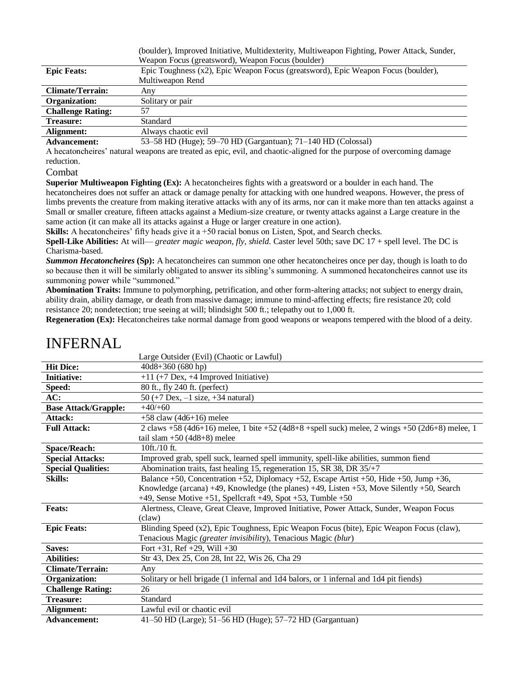|                          | (boulder), Improved Initiative, Multidexterity, Multiweapon Fighting, Power Attack, Sunder, |  |  |
|--------------------------|---------------------------------------------------------------------------------------------|--|--|
|                          | Weapon Focus (greatsword), Weapon Focus (boulder)                                           |  |  |
| <b>Epic Feats:</b>       | Epic Toughness (x2), Epic Weapon Focus (greatsword), Epic Weapon Focus (boulder),           |  |  |
|                          | Multiweapon Rend                                                                            |  |  |
| <b>Climate/Terrain:</b>  | Any                                                                                         |  |  |
| Organization:            | Solitary or pair                                                                            |  |  |
| <b>Challenge Rating:</b> | 57                                                                                          |  |  |
| <b>Treasure:</b>         | Standard                                                                                    |  |  |
| Alignment:               | Always chaotic evil                                                                         |  |  |

**Advancement:** 53–58 HD (Huge); 59–70 HD (Gargantuan); 71–140 HD (Colossal)

A hecatoncheires' natural weapons are treated as epic, evil, and chaotic-aligned for the purpose of overcoming damage reduction.

### Combat

**Superior Multiweapon Fighting (Ex):** A hecatoncheires fights with a greatsword or a boulder in each hand. The hecatoncheires does not suffer an attack or damage penalty for attacking with one hundred weapons. However, the press of limbs prevents the creature from making iterative attacks with any of its arms, nor can it make more than ten attacks against a Small or smaller creature, fifteen attacks against a Medium-size creature, or twenty attacks against a Large creature in the same action (it can make all its attacks against a Huge or larger creature in one action).

**Skills:** A hecatoncheires' fifty heads give it a +50 racial bonus on Listen, Spot, and Search checks.

**Spell-Like Abilities:** At will— *greater magic weapon, fly, shield.* Caster level 50th; save DC 17 + spell level. The DC is Charisma-based.

*Summon Hecatoncheires* **(Sp):** A hecatoncheires can summon one other hecatoncheires once per day, though is loath to do so because then it will be similarly obligated to answer its sibling's summoning. A summoned hecatoncheires cannot use its summoning power while "summoned."

**Abomination Traits:** Immune to polymorphing, petrification, and other form-altering attacks; not subject to energy drain, ability drain, ability damage, or death from massive damage; immune to mind-affecting effects; fire resistance 20; cold resistance 20; nondetection; true seeing at will; blindsight 500 ft.; telepathy out to 1,000 ft.

**Regeneration (Ex):** Hecatoncheires take normal damage from good weapons or weapons tempered with the blood of a deity.

|                             | Large Outsider (Evil) (Chaotic or Lawful)                                                      |
|-----------------------------|------------------------------------------------------------------------------------------------|
| <b>Hit Dice:</b>            | 40d8+360 (680 hp)                                                                              |
| <b>Initiative:</b>          | $+11$ (+7 Dex, +4 Improved Initiative)                                                         |
| Speed:                      | 80 ft., fly 240 ft. (perfect)                                                                  |
| AC:                         | 50 (+7 Dex, $-1$ size, +34 natural)                                                            |
| <b>Base Attack/Grapple:</b> | $+40/+60$                                                                                      |
| Attack:                     | $+58$ claw (4d6+16) melee                                                                      |
| <b>Full Attack:</b>         | 2 claws +58 (4d6+16) melee, 1 bite +52 (4d8+8 +spell suck) melee, 2 wings +50 (2d6+8) melee, 1 |
|                             | tail slam $+50$ (4d8+8) melee                                                                  |
| <b>Space/Reach:</b>         | 10ft./10 ft.                                                                                   |
| <b>Special Attacks:</b>     | Improved grab, spell suck, learned spell immunity, spell-like abilities, summon fiend          |
| <b>Special Qualities:</b>   | Abomination traits, fast healing 15, regeneration 15, SR 38, DR 35/+7                          |
| <b>Skills:</b>              | Balance +50, Concentration +52, Diplomacy +52, Escape Artist +50, Hide +50, Jump +36,          |
|                             | Knowledge (arcana) +49, Knowledge (the planes) +49, Listen +53, Move Silently +50, Search      |
|                             | $+49$ , Sense Motive $+51$ , Spellcraft $+49$ , Spot $+53$ , Tumble $+50$                      |
| <b>Feats:</b>               | Alertness, Cleave, Great Cleave, Improved Initiative, Power Attack, Sunder, Weapon Focus       |
|                             | (claw)                                                                                         |
| <b>Epic Feats:</b>          | Blinding Speed (x2), Epic Toughness, Epic Weapon Focus (bite), Epic Weapon Focus (claw),       |
|                             | Tenacious Magic (greater invisibility), Tenacious Magic (blur)                                 |
| Saves:                      | Fort $+31$ , Ref $+29$ , Will $+30$                                                            |
| <b>Abilities:</b>           | Str 43, Dex 25, Con 28, Int 22, Wis 26, Cha 29                                                 |
| <b>Climate/Terrain:</b>     | Any                                                                                            |
| <b>Organization:</b>        | Solitary or hell brigade (1 infernal and 1d4 balors, or 1 infernal and 1d4 pit fiends)         |
| <b>Challenge Rating:</b>    | 26                                                                                             |
| Treasure:                   | Standard                                                                                       |
| Alignment:                  | Lawful evil or chaotic evil                                                                    |
| <b>Advancement:</b>         | 41–50 HD (Large); 51–56 HD (Huge); 57–72 HD (Gargantuan)                                       |

# INFERNAL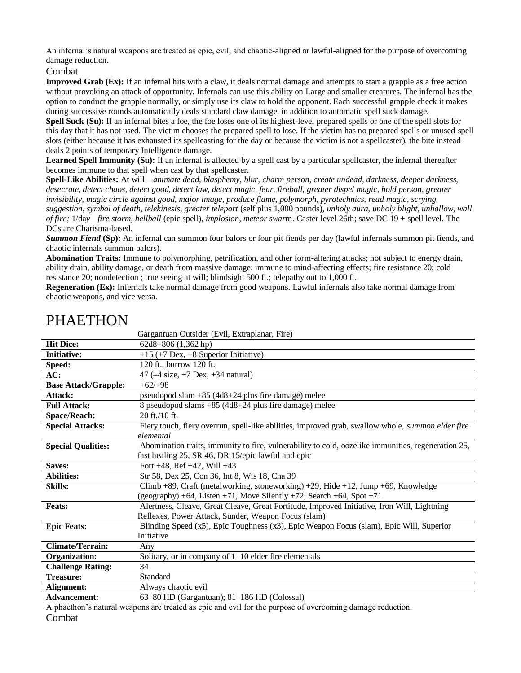An infernal's natural weapons are treated as epic, evil, and chaotic-aligned or lawful-aligned for the purpose of overcoming damage reduction.

### Combat

**Improved Grab (Ex):** If an infernal hits with a claw, it deals normal damage and attempts to start a grapple as a free action without provoking an attack of opportunity. Infernals can use this ability on Large and smaller creatures. The infernal has the option to conduct the grapple normally, or simply use its claw to hold the opponent. Each successful grapple check it makes during successive rounds automatically deals standard claw damage, in addition to automatic spell suck damage.

**Spell Suck (Su):** If an infernal bites a foe, the foe loses one of its highest-level prepared spells or one of the spell slots for this day that it has not used. The victim chooses the prepared spell to lose. If the victim has no prepared spells or unused spell slots (either because it has exhausted its spellcasting for the day or because the victim is not a spellcaster), the bite instead deals 2 points of temporary Intelligence damage.

Learned Spell Immunity (Su): If an infernal is affected by a spell cast by a particular spellcaster, the infernal thereafter becomes immune to that spell when cast by that spellcaster.

**Spell-Like Abilities:** At will—*animate dead, blasphemy, blur, charm person, create undead, darkness, deeper darkness, desecrate, detect chaos, detect good, detect law, detect magic, fear, fireball, greater dispel magic, hold person, greater invisibility, magic circle against good, major image, produce flame, polymorph, pyrotechnics, read magic, scrying, suggestion, symbol of death, telekinesis, greater teleport* (self plus 1,000 pounds), *unholy aura, unholy blight, unhallow, wall of fire;* 1/da*y—fire storm, hellball* (epic spell), *implosion, meteor swar*m. Caster level 26th; save DC 19 + spell level. The DCs are Charisma-based.

*Summon Fiend* **(Sp):** An infernal can summon four balors or four pit fiends per day (lawful infernals summon pit fiends, and chaotic infernals summon balors).

**Abomination Traits:** Immune to polymorphing, petrification, and other form-altering attacks; not subject to energy drain, ability drain, ability damage, or death from massive damage; immune to mind-affecting effects; fire resistance 20; cold resistance 20; nondetection ; true seeing at will; blindsight 500 ft.; telepathy out to 1,000 ft.

**Regeneration (Ex):** Infernals take normal damage from good weapons. Lawful infernals also take normal damage from chaotic weapons, and vice versa.

|                             | Gargantuan Outsider (Evil, Extraplanar, Fire)                                                            |
|-----------------------------|----------------------------------------------------------------------------------------------------------|
| <b>Hit Dice:</b>            | $62d8+806(1,362hp)$                                                                                      |
| <b>Initiative:</b>          | $+15$ (+7 Dex, +8 Superior Initiative)                                                                   |
| Speed:                      | 120 ft., burrow 120 ft.                                                                                  |
| AC:                         | 47 $(-4 \text{ size}, +7 \text{ Dev}, +34 \text{ natural})$                                              |
| <b>Base Attack/Grapple:</b> | $+62/+98$                                                                                                |
| Attack:                     | pseudopod slam $+85$ (4d8+24 plus fire damage) melee                                                     |
| <b>Full Attack:</b>         | 8 pseudopod slams +85 (4d8+24 plus fire damage) melee                                                    |
| <b>Space/Reach:</b>         | 20 ft./10 ft.                                                                                            |
| <b>Special Attacks:</b>     | Fiery touch, fiery overrun, spell-like abilities, improved grab, swallow whole, <i>summon elder fire</i> |
|                             | elemental                                                                                                |
| <b>Special Qualities:</b>   | Abomination traits, immunity to fire, vulnerability to cold, oozelike immunities, regeneration 25,       |
|                             | fast healing 25, SR 46, DR 15/epic lawful and epic                                                       |
| Saves:                      | Fort $+48$ , Ref $+42$ , Will $+43$                                                                      |
| <b>Abilities:</b>           | Str 58, Dex 25, Con 36, Int 8, Wis 18, Cha 39                                                            |
| <b>Skills:</b>              | Climb +89, Craft (metalworking, stoneworking) +29, Hide +12, Jump +69, Knowledge                         |
|                             | $(geography) + 64$ , Listen +71, Move Silently +72, Search +64, Spot +71                                 |
| <b>Feats:</b>               | Alertness, Cleave, Great Cleave, Great Fortitude, Improved Initiative, Iron Will, Lightning              |
|                             | Reflexes, Power Attack, Sunder, Weapon Focus (slam)                                                      |
| <b>Epic Feats:</b>          | Blinding Speed (x5), Epic Toughness (x3), Epic Weapon Focus (slam), Epic Will, Superior                  |
|                             | Initiative                                                                                               |
| <b>Climate/Terrain:</b>     | Any                                                                                                      |
| Organization:               | Solitary, or in company of $1-10$ elder fire elementals                                                  |
| <b>Challenge Rating:</b>    | 34                                                                                                       |
| <b>Treasure:</b>            | Standard                                                                                                 |
| Alignment:                  | Always chaotic evil                                                                                      |
| Advoncement:                | $63-80$ HD $(Gor$ cantuan): $81-186$ HD $(Colocol)$                                                      |

# PHAETHON

**Advancement:** 63–80 HD (Gargantuan); 81–186 HD (Colossal) A phaethon's natural weapons are treated as epic and evil for the purpose of overcoming damage reduction.

Combat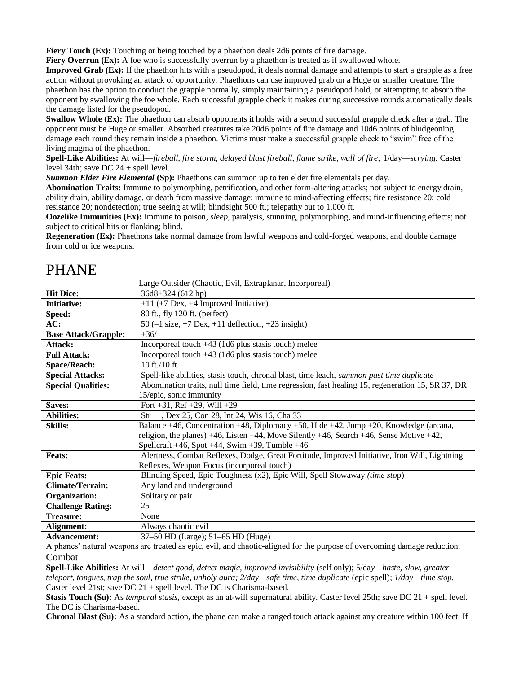**Fiery Touch (Ex):** Touching or being touched by a phaethon deals 2d6 points of fire damage.

**Fiery Overrun (Ex):** A foe who is successfully overrun by a phaethon is treated as if swallowed whole.

**Improved Grab (Ex):** If the phaethon hits with a pseudopod, it deals normal damage and attempts to start a grapple as a free action without provoking an attack of opportunity. Phaethons can use improved grab on a Huge or smaller creature. The phaethon has the option to conduct the grapple normally, simply maintaining a pseudopod hold, or attempting to absorb the opponent by swallowing the foe whole. Each successful grapple check it makes during successive rounds automatically deals the damage listed for the pseudopod.

**Swallow Whole (Ex):** The phaethon can absorb opponents it holds with a second successful grapple check after a grab. The opponent must be Huge or smaller. Absorbed creatures take 20d6 points of fire damage and 10d6 points of bludgeoning damage each round they remain inside a phaethon. Victims must make a successful grapple check to "swim" free of the living magma of the phaethon.

**Spell-Like Abilities:** At will—*fireball, fire storm, delayed blast fireball, flame strike, wall of fire;* 1/day—*scrying.* Caster level 34th; save DC 24 + spell level.

*Summon Elder Fire Elemental* **(Sp):** Phaethons can summon up to ten elder fire elementals per day.

**Abomination Traits:** Immune to polymorphing, petrification, and other form-altering attacks; not subject to energy drain, ability drain, ability damage, or death from massive damage; immune to mind-affecting effects; fire resistance 20; cold resistance 20; nondetection; true seeing at will; blindsight 500 ft.; telepathy out to 1,000 ft.

**Oozelike Immunities (Ex):** Immune to poison, *sleep*, paralysis, stunning, polymorphing, and mind-influencing effects; not subject to critical hits or flanking; blind.

**Regeneration (Ex):** Phaethons take normal damage from lawful weapons and cold-forged weapons, and double damage from cold or ice weapons.

# PHANE

|                             | Large Outsider (Chaotic, Evil, Extraplanar, Incorporeal)                                               |  |
|-----------------------------|--------------------------------------------------------------------------------------------------------|--|
| <b>Hit Dice:</b>            | 36d8+324 (612 hp)                                                                                      |  |
| <b>Initiative:</b>          | $+11$ (+7 Dex, +4 Improved Initiative)                                                                 |  |
| Speed:                      | 80 ft., fly 120 ft. (perfect)                                                                          |  |
| AC:                         | 50 $(-1 \text{ size}, +7 \text{ Dex}, +11 \text{ deflection}, +23 \text{ insight})$                    |  |
| <b>Base Attack/Grapple:</b> | $+36/$                                                                                                 |  |
| Attack:                     | Incorporeal touch $+43$ (1d6 plus stasis touch) melee                                                  |  |
| <b>Full Attack:</b>         | Incorporeal touch $+43$ (1d6 plus stasis touch) melee                                                  |  |
| <b>Space/Reach:</b>         | 10 ft./10 ft.                                                                                          |  |
| <b>Special Attacks:</b>     | Spell-like abilities, stasis touch, chronal blast, time leach, <i>summon past time duplicate</i>       |  |
| <b>Special Qualities:</b>   | Abomination traits, null time field, time regression, fast healing 15, regeneration 15, SR 37, DR      |  |
|                             | 15/epic, sonic immunity                                                                                |  |
| Saves:                      | Fort $+31$ , Ref $+29$ , Will $+29$                                                                    |  |
|                             |                                                                                                        |  |
| <b>Abilities:</b>           | Str —, Dex 25, Con 28, Int 24, Wis 16, Cha 33                                                          |  |
| <b>Skills:</b>              | Balance +46, Concentration +48, Diplomacy +50, Hide +42, Jump +20, Knowledge (arcana,                  |  |
|                             | religion, the planes) $+46$ , Listen $+44$ , Move Silently $+46$ , Search $+46$ , Sense Motive $+42$ , |  |
|                             | Spellcraft $+46$ , Spot $+44$ , Swim $+39$ , Tumble $+46$                                              |  |
| <b>Feats:</b>               | Alertness, Combat Reflexes, Dodge, Great Fortitude, Improved Initiative, Iron Will, Lightning          |  |
|                             | Reflexes, Weapon Focus (incorporeal touch)                                                             |  |
| <b>Epic Feats:</b>          | Blinding Speed, Epic Toughness (x2), Epic Will, Spell Stowaway (time stop)                             |  |
| <b>Climate/Terrain:</b>     | Any land and underground                                                                               |  |
| <b>Organization:</b>        | Solitary or pair                                                                                       |  |
| <b>Challenge Rating:</b>    | 25                                                                                                     |  |
| <b>Treasure:</b>            | None                                                                                                   |  |
| Alignment:                  | Always chaotic evil                                                                                    |  |

A phanes' natural weapons are treated as epic, evil, and chaotic-aligned for the purpose of overcoming damage reduction. Combat

**Spell-Like Abilities:** At will—*detect good, detect magic, improved invisibility* (self only); 5/da*y—haste, slow, greater teleport, tongues, trap the soul, true strike, unholy aura;*  $2/day$ *—safe time, time duplicate (epic spell);*  $1/day$ *—time stop.* Caster level 21st; save DC 21 + spell level. The DC is Charisma-based.

**Stasis Touch (Su):** As *temporal stasis,* except as an at-will supernatural ability. Caster level 25th; save DC 21 + spell level. The DC is Charisma-based.

**Chronal Blast (Su):** As a standard action, the phane can make a ranged touch attack against any creature within 100 feet. If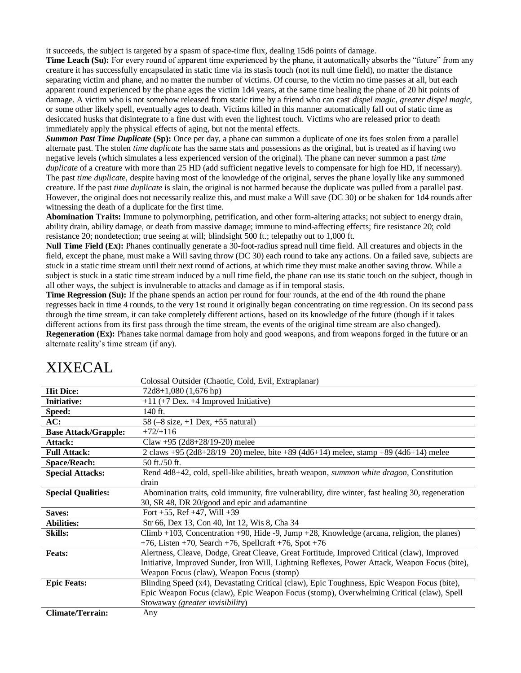it succeeds, the subject is targeted by a spasm of space-time flux, dealing 15d6 points of damage.

**Time Leach (Su):** For every round of apparent time experienced by the phane, it automatically absorbs the "future" from any creature it has successfully encapsulated in static time via its stasis touch (not its null time field), no matter the distance separating victim and phane, and no matter the number of victims. Of course, to the victim no time passes at all, but each apparent round experienced by the phane ages the victim 1d4 years, at the same time healing the phane of 20 hit points of damage. A victim who is not somehow released from static time by a friend who can cast *dispel magic, greater dispel magic,*  or some other likely spell, eventually ages to death. Victims killed in this manner automatically fall out of static time as desiccated husks that disintegrate to a fine dust with even the lightest touch. Victims who are released prior to death immediately apply the physical effects of aging, but not the mental effects.

*Summon Past Time Duplicate* **(Sp):** Once per day, a phane can summon a duplicate of one its foes stolen from a parallel alternate past. The stolen *time duplicate* has the same stats and possessions as the original, but is treated as if having two negative levels (which simulates a less experienced version of the original). The phane can never summon a past *time duplicate* of a creature with more than 25 HD (add sufficient negative levels to compensate for high foe HD, if necessary). The past *time duplicat*e, despite having most of the knowledge of the original, serves the phane loyally like any summoned creature. If the past *time duplicate* is slain, the original is not harmed because the duplicate was pulled from a parallel past. However, the original does not necessarily realize this, and must make a Will save (DC 30) or be shaken for 1d4 rounds after witnessing the death of a duplicate for the first time.

**Abomination Traits:** Immune to polymorphing, petrification, and other form-altering attacks; not subject to energy drain, ability drain, ability damage, or death from massive damage; immune to mind-affecting effects; fire resistance 20; cold resistance 20; nondetection; true seeing at will; blindsight 500 ft.; telepathy out to 1,000 ft.

**Null Time Field (Ex):** Phanes continually generate a 30-foot-radius spread null time field. All creatures and objects in the field, except the phane, must make a Will saving throw (DC 30) each round to take any actions. On a failed save, subjects are stuck in a static time stream until their next round of actions, at which time they must make another saving throw. While a subject is stuck in a static time stream induced by a null time field, the phane can use its static touch on the subject, though in all other ways, the subject is invulnerable to attacks and damage as if in temporal stasis.

**Time Regression (Su):** If the phane spends an action per round for four rounds, at the end of the 4th round the phane regresses back in time 4 rounds, to the very 1st round it originally began concentrating on time regression. On its second pass through the time stream, it can take completely different actions, based on its knowledge of the future (though if it takes different actions from its first pass through the time stream, the events of the original time stream are also changed). **Regeneration (Ex):** Phanes take normal damage from holy and good weapons, and from weapons forged in the future or an alternate reality's time stream (if any).

|                             | Colossal Outsider (Chaotic, Cold, Evil, Extraplanar)                                              |  |
|-----------------------------|---------------------------------------------------------------------------------------------------|--|
| <b>Hit Dice:</b>            | $72d8+1,080(1,676hp)$                                                                             |  |
| <b>Initiative:</b>          | $+11$ (+7 Dex. +4 Improved Initiative)                                                            |  |
| Speed:                      | 140 ft.                                                                                           |  |
| AC:                         | 58 $(-8 \text{ size}, +1 \text{ Dev}, +55 \text{ natural})$                                       |  |
| <b>Base Attack/Grapple:</b> | $+72/+116$                                                                                        |  |
| Attack:                     | Claw +95 $(2d8+28/19-20)$ melee                                                                   |  |
| <b>Full Attack:</b>         | 2 claws +95 (2d8+28/19-20) melee, bite +89 (4d6+14) melee, stamp +89 (4d6+14) melee               |  |
| <b>Space/Reach:</b>         | 50 ft./50 ft.                                                                                     |  |
| <b>Special Attacks:</b>     | Rend 4d8+42, cold, spell-like abilities, breath weapon, summon white dragon, Constitution         |  |
|                             | drain                                                                                             |  |
| <b>Special Qualities:</b>   | Abomination traits, cold immunity, fire vulnerability, dire winter, fast healing 30, regeneration |  |
|                             | 30, SR 48, DR 20/good and epic and adamantine                                                     |  |
| Saves:                      | Fort $+55$ , Ref $+47$ , Will $+39$                                                               |  |
| <b>Abilities:</b>           | Str 66, Dex 13, Con 40, Int 12, Wis 8, Cha 34                                                     |  |
| <b>Skills:</b>              | Climb +103, Concentration +90, Hide -9, Jump +28, Knowledge (arcana, religion, the planes)        |  |
|                             | $+76$ , Listen $+70$ , Search $+76$ , Spellcraft $+76$ , Spot $+76$                               |  |
| <b>Feats:</b>               | Alertness, Cleave, Dodge, Great Cleave, Great Fortitude, Improved Critical (claw), Improved       |  |
|                             | Initiative, Improved Sunder, Iron Will, Lightning Reflexes, Power Attack, Weapon Focus (bite),    |  |
|                             | Weapon Focus (claw), Weapon Focus (stomp)                                                         |  |
| <b>Epic Feats:</b>          | Blinding Speed (x4), Devastating Critical (claw), Epic Toughness, Epic Weapon Focus (bite),       |  |
|                             | Epic Weapon Focus (claw), Epic Weapon Focus (stomp), Overwhelming Critical (claw), Spell          |  |
|                             | Stowaway (greater invisibility)                                                                   |  |
| <b>Climate/Terrain:</b>     | Any                                                                                               |  |

# XIXECAL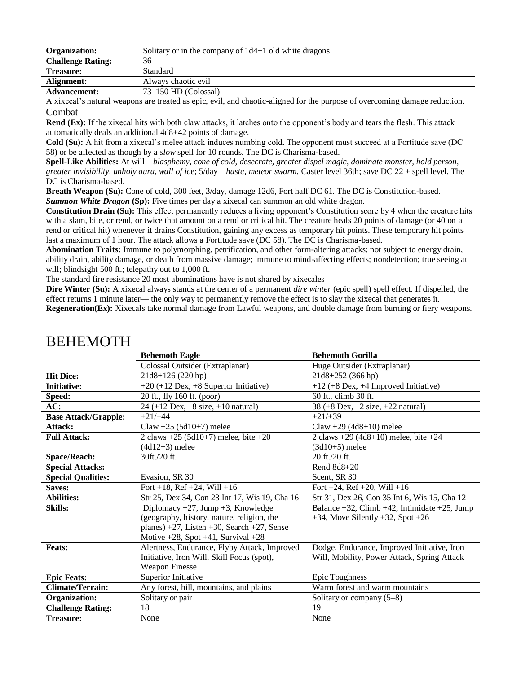| Organization:            | Solitary or in the company of $1d4+1$ old white dragons |
|--------------------------|---------------------------------------------------------|
| <b>Challenge Rating:</b> | 36                                                      |
| <b>Treasure:</b>         | Standard                                                |
| Alignment:               | Always chaotic evil                                     |
| Advancement:             | $73-150$ HD (Colossal)                                  |

A xixecal's natural weapons are treated as epic, evil, and chaotic-aligned for the purpose of overcoming damage reduction. Combat

**Rend (Ex):** If the xixecal hits with both claw attacks, it latches onto the opponent's body and tears the flesh. This attack automatically deals an additional 4d8+42 points of damage.

**Cold (Su):** A hit from a xixecal's melee attack induces numbing cold. The opponent must succeed at a Fortitude save (DC 58) or be affected as though by a *slow* spell for 10 rounds. The DC is Charisma-based.

**Spell-Like Abilities:** At will—*blasphemy, cone of cold, desecrate, greater dispel magic, dominate monster, hold person, greater invisibility, unholy aura, wall of ic*e; 5/day—*haste, meteor swarm.* Caster level 36th; save DC 22 + spell level. The DC is Charisma-based.

**Breath Weapon (Su):** Cone of cold, 300 feet, 3/day, damage 12d6, Fort half DC 61. The DC is Constitution-based. **Summon White Dragon (Sp):** Five times per day a xixecal can summon an old white dragon.

**Constitution Drain (Su):** This effect permanently reduces a living opponent's Constitution score by 4 when the creature hits with a slam, bite, or rend, or twice that amount on a rend or critical hit. The creature heals 20 points of damage (or 40 on a rend or critical hit) whenever it drains Constitution, gaining any excess as temporary hit points. These temporary hit points last a maximum of 1 hour. The attack allows a Fortitude save (DC 58). The DC is Charisma-based.

**Abomination Traits:** Immune to polymorphing, petrification, and other form-altering attacks; not subject to energy drain, ability drain, ability damage, or death from massive damage; immune to mind-affecting effects; nondetection; true seeing at will; blindsight 500 ft.; telepathy out to 1,000 ft.

The standard fire resistance 20 most abominations have is not shared by xixecales

**Dire Winter (Su):** A xixecal always stands at the center of a permanent *dire winter* (epic spell) spell effect. If dispelled, the effect returns 1 minute later— the only way to permanently remove the effect is to slay the xixecal that generates it. **Regeneration(Ex):** Xixecals take normal damage from Lawful weapons, and double damage from burning or fiery weapons.

|                             | <b>Behemoth Eagle</b>                                                                  | <b>Behemoth Gorilla</b>                               |
|-----------------------------|----------------------------------------------------------------------------------------|-------------------------------------------------------|
|                             | Colossal Outsider (Extraplanar)                                                        | Huge Outsider (Extraplanar)                           |
| <b>Hit Dice:</b>            | 21d8+126 (220 hp)                                                                      | 21d8+252 (366 hp)                                     |
| <b>Initiative:</b>          | $+20 (+12$ Dex, $+8$ Superior Initiative)                                              | $+12$ (+8 Dex, +4 Improved Initiative)                |
| Speed:                      | 20 ft., fly 160 ft. (poor)                                                             | 60 ft., climb 30 ft.                                  |
| AC:                         | 24 (+12 Dex, -8 size, +10 natural)                                                     | 38 (+8 Dex, $-2$ size, $+22$ natural)                 |
| <b>Base Attack/Grapple:</b> | $+21/+44$                                                                              | $+21/+39$                                             |
| Attack:                     | Claw +25 (5d10+7) melee                                                                | Claw +29 $(4d8+10)$ melee                             |
| <b>Full Attack:</b>         | 2 claws $+25$ (5d10+7) melee, bite $+20$                                               | 2 claws $+29$ (4d8+10) melee, bite $+24$              |
|                             | $(4d12+3)$ melee                                                                       | $(3d10+5)$ melee                                      |
| <b>Space/Reach:</b>         | 30ft./20 ft.                                                                           | 20 ft./20 ft.                                         |
| <b>Special Attacks:</b>     |                                                                                        | Rend $8d8+20$                                         |
| <b>Special Qualities:</b>   | Evasion, SR 30                                                                         | Scent, SR 30                                          |
| Saves:                      | Fort +18, Ref +24, Will +16                                                            | Fort +24, Ref +20, Will +16                           |
| <b>Abilities:</b>           | Str 25, Dex 34, Con 23 Int 17, Wis 19, Cha 16                                          | Str 31, Dex 26, Con 35 Int 6, Wis 15, Cha 12          |
| <b>Skills:</b>              | Diplomacy $+27$ , Jump $+3$ , Knowledge                                                | Balance $+32$ , Climb $+42$ , Intimidate $+25$ , Jump |
|                             | (geography, history, nature, religion, the<br>$+34$ , Move Silently $+32$ , Spot $+26$ |                                                       |
|                             | planes) $+27$ , Listen $+30$ , Search $+27$ , Sense                                    |                                                       |
|                             | Motive $+28$ , Spot $+41$ , Survival $+28$                                             |                                                       |
| <b>Feats:</b>               | Alertness, Endurance, Flyby Attack, Improved                                           | Dodge, Endurance, Improved Initiative, Iron           |
|                             | Initiative, Iron Will, Skill Focus (spot),                                             | Will, Mobility, Power Attack, Spring Attack           |
|                             | <b>Weapon Finesse</b>                                                                  |                                                       |
| <b>Epic Feats:</b>          | Superior Initiative                                                                    | Epic Toughness                                        |
| <b>Climate/Terrain:</b>     | Any forest, hill, mountains, and plains                                                | Warm forest and warm mountains                        |
| <b>Organization:</b>        | Solitary or pair                                                                       | Solitary or company $(5-8)$                           |
| <b>Challenge Rating:</b>    | 18                                                                                     | 19                                                    |
| <b>Treasure:</b>            | None                                                                                   | None                                                  |

### BEHEMOTH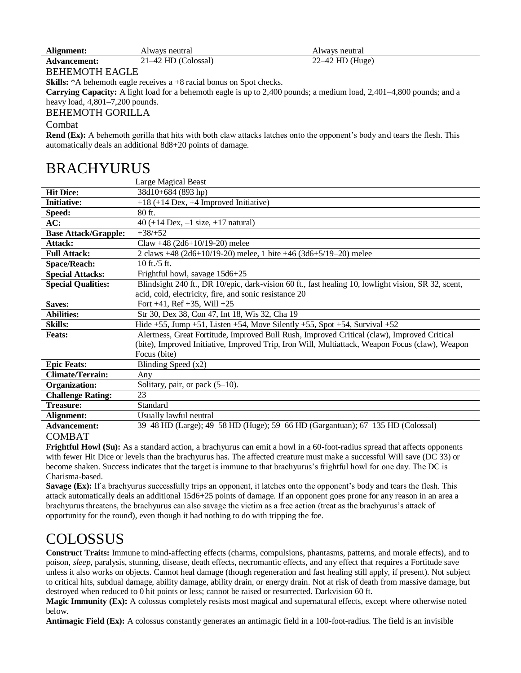| Alignment:          | Always neutral      | Always neutral    |
|---------------------|---------------------|-------------------|
| <b>Advancement:</b> | 21–42 HD (Colossal) | $22-42$ HD (Huge) |

### BEHEMOTH EAGLE

**Skills:** \*A behemoth eagle receives a +8 racial bonus on Spot checks.

**Carrying Capacity:** A light load for a behemoth eagle is up to 2,400 pounds; a medium load, 2,401–4,800 pounds; and a heavy load, 4,801–7,200 pounds.

### BEHEMOTH GORILLA

### Combat

**Rend (Ex):** A behemoth gorilla that hits with both claw attacks latches onto the opponent's body and tears the flesh. This automatically deals an additional 8d8+20 points of damage.

## BRACHYURUS

|                             | Large Magical Beast                                                                                 |  |
|-----------------------------|-----------------------------------------------------------------------------------------------------|--|
| <b>Hit Dice:</b>            | 38d10+684 (893 hp)                                                                                  |  |
| <b>Initiative:</b>          | $+18$ (+14 Dex, +4 Improved Initiative)                                                             |  |
| Speed:                      | $80$ ft.                                                                                            |  |
| AC:                         | 40 (+14 Dex, $-1$ size, $+17$ natural)                                                              |  |
| <b>Base Attack/Grapple:</b> | $+38/+52$                                                                                           |  |
| Attack:                     | Claw +48 (2d6+10/19-20) melee                                                                       |  |
| <b>Full Attack:</b>         | 2 claws +48 (2d6+10/19-20) melee, 1 bite +46 (3d6+5/19-20) melee                                    |  |
| <b>Space/Reach:</b>         | 10 ft./5 ft.                                                                                        |  |
| <b>Special Attacks:</b>     | Frightful howl, savage 15d6+25                                                                      |  |
| <b>Special Qualities:</b>   | Blindsight 240 ft., DR 10/epic, dark-vision 60 ft., fast healing 10, lowlight vision, SR 32, scent, |  |
|                             | acid, cold, electricity, fire, and sonic resistance 20                                              |  |
| Saves:                      | Fort $+41$ , Ref $+35$ , Will $+25$                                                                 |  |
| Abilities:                  | Str 30, Dex 38, Con 47, Int 18, Wis 32, Cha 19                                                      |  |
| <b>Skills:</b>              | Hide +55, Jump +51, Listen +54, Move Silently +55, Spot +54, Survival +52                           |  |
| <b>Feats:</b>               | Alertness, Great Fortitude, Improved Bull Rush, Improved Critical (claw), Improved Critical         |  |
|                             | (bite), Improved Initiative, Improved Trip, Iron Will, Multiattack, Weapon Focus (claw), Weapon     |  |
|                             | Focus (bite)                                                                                        |  |
| <b>Epic Feats:</b>          | Blinding Speed (x2)                                                                                 |  |
| <b>Climate/Terrain:</b>     | Any                                                                                                 |  |
| <b>Organization:</b>        | Solitary, pair, or pack $(5-10)$ .                                                                  |  |
| <b>Challenge Rating:</b>    | 23                                                                                                  |  |
| Treasure:                   | Standard                                                                                            |  |
| Alignment:                  | Usually lawful neutral                                                                              |  |
| <b>Advancement:</b>         | 39–48 HD (Large); 49–58 HD (Huge); 59–66 HD (Gargantuan); 67–135 HD (Colossal)                      |  |
| CONIDAT                     |                                                                                                     |  |

### COMBAT

**Frightful Howl (Su):** As a standard action, a brachyurus can emit a howl in a 60-foot-radius spread that affects opponents with fewer Hit Dice or levels than the brachyurus has. The affected creature must make a successful Will save (DC 33) or become shaken. Success indicates that the target is immune to that brachyurus's frightful howl for one day. The DC is Charisma-based.

**Savage (Ex):** If a brachyurus successfully trips an opponent, it latches onto the opponent's body and tears the flesh. This attack automatically deals an additional 15d6+25 points of damage. If an opponent goes prone for any reason in an area a brachyurus threatens, the brachyurus can also savage the victim as a free action (treat as the brachyurus's attack of opportunity for the round), even though it had nothing to do with tripping the foe.

# COLOSSUS

**Construct Traits:** Immune to mind-affecting effects (charms, compulsions, phantasms, patterns, and morale effects), and to poison, *sleep,* paralysis, stunning, disease, death effects, necromantic effects, and any effect that requires a Fortitude save unless it also works on objects. Cannot heal damage (though regeneration and fast healing still apply, if present). Not subject to critical hits, subdual damage, ability damage, ability drain, or energy drain. Not at risk of death from massive damage, but destroyed when reduced to 0 hit points or less; cannot be raised or resurrected. Darkvision 60 ft.

**Magic Immunity (Ex):** A colossus completely resists most magical and supernatural effects, except where otherwise noted below.

**Antimagic Field (Ex):** A colossus constantly generates an antimagic field in a 100-foot-radius. The field is an invisible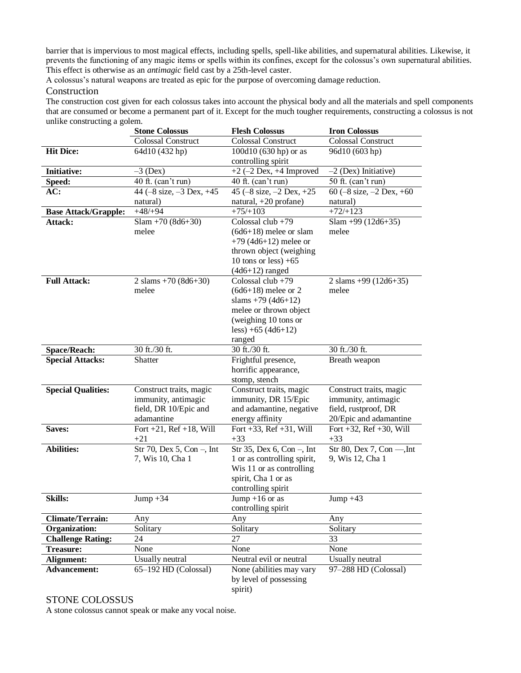barrier that is impervious to most magical effects, including spells, spell-like abilities, and supernatural abilities. Likewise, it prevents the functioning of any magic items or spells within its confines, except for the colossus's own supernatural abilities. This effect is otherwise as an *antimagic* field cast by a 25th-level caster.

A colossus's natural weapons are treated as epic for the purpose of overcoming damage reduction.

### Construction

The construction cost given for each colossus takes into account the physical body and all the materials and spell components that are consumed or become a permanent part of it. Except for the much tougher requirements, constructing a colossus is not unlike constructing a golem.

|                             | <b>Stone Colossus</b>           | <b>Flesh Colossus</b>           | <b>Iron Colossus</b>            |
|-----------------------------|---------------------------------|---------------------------------|---------------------------------|
|                             | <b>Colossal Construct</b>       | <b>Colossal Construct</b>       | Colossal Construct              |
| <b>Hit Dice:</b>            | 64d10 (432 hp)                  | 100d10 (630 hp) or as           | 96d10 (603 hp)                  |
|                             |                                 | controlling spirit              |                                 |
| <b>Initiative:</b>          | $-3$ (Dex)                      | $+2$ (-2 Dex, +4 Improved       | $-2$ (Dex) Initiative)          |
| Speed:                      | 40 ft. (can't run)              | 40 ft. (can't run)              | 50 ft. (can't run)              |
| AC:                         | 44 ( $-8$ size, $-3$ Dex, $+45$ | 45 ( $-8$ size, $-2$ Dex, $+25$ | 60 ( $-8$ size, $-2$ Dex, $+60$ |
|                             | natural)                        | natural, +20 profane)           | natural)                        |
| <b>Base Attack/Grapple:</b> | $+48/+94$                       | $+75/+103$                      | $+72/+123$                      |
| Attack:                     | $Slam + 70 (8d6+30)$            | Colossal club $+79$             | Slam +99 $(12d6+35)$            |
|                             | melee                           | $(6d6+18)$ melee or slam        | melee                           |
|                             |                                 | +79 (4d6+12) melee or           |                                 |
|                             |                                 | thrown object (weighing         |                                 |
|                             |                                 | 10 tons or less) $+65$          |                                 |
|                             |                                 | $(4d6+12)$ ranged               |                                 |
| <b>Full Attack:</b>         | 2 slams $+70(8d6+30)$           | Colossal club +79               | 2 slams $+99$ (12d6+35)         |
|                             | melee                           | $(6d6+18)$ melee or 2           | melee                           |
|                             |                                 | slams $+79$ (4d6+12)            |                                 |
|                             |                                 | melee or thrown object          |                                 |
|                             |                                 | (weighing 10 tons or            |                                 |
|                             |                                 | less) +65 (4d6+12)              |                                 |
|                             |                                 | ranged                          |                                 |
| <b>Space/Reach:</b>         | 30 ft./30 ft.                   | 30 ft./30 ft.                   | 30 ft./30 ft.                   |
| <b>Special Attacks:</b>     | Shatter                         | Frightful presence,             | Breath weapon                   |
|                             |                                 | horrific appearance,            |                                 |
|                             |                                 | stomp, stench                   |                                 |
| <b>Special Qualities:</b>   | Construct traits, magic         | Construct traits, magic         | Construct traits, magic         |
|                             | immunity, antimagic             | immunity, DR 15/Epic            | immunity, antimagic             |
|                             | field, DR 10/Epic and           | and adamantine, negative        | field, rustproof, DR            |
|                             | adamantine                      | energy affinity                 | 20/Epic and adamantine          |
| Saves:                      | Fort $+21$ , Ref $+18$ , Will   | Fort $+33$ , Ref $+31$ , Will   | Fort $+32$ , Ref $+30$ , Will   |
|                             | $+21$                           | $+33$                           | $+33$                           |
| <b>Abilities:</b>           | Str 70, Dex 5, Con -, Int       | Str 35, Dex 6, Con -, Int       | Str 80, Dex 7, Con --, Int      |
|                             | 7, Wis 10, Cha 1                | 1 or as controlling spirit,     | 9, Wis 12, Cha 1                |
|                             |                                 | Wis 11 or as controlling        |                                 |
|                             |                                 | spirit, Cha 1 or as             |                                 |
|                             |                                 | controlling spirit              |                                 |
| <b>Skills:</b>              | Jump $+34$                      | Jump +16 or as                  | Jump $+43$                      |
|                             |                                 | controlling spirit              |                                 |
| <b>Climate/Terrain:</b>     | Any                             | Any                             | Any                             |
| Organization:               | Solitary                        | Solitary                        | Solitary                        |
| <b>Challenge Rating:</b>    | 24                              | 27                              | 33                              |
| <b>Treasure:</b>            | None                            | None                            | None                            |
| Alignment:                  | Usually neutral                 | Neutral evil or neutral         | Usually neutral                 |
| <b>Advancement:</b>         | 65-192 HD (Colossal)            | None (abilities may vary        | 97-288 HD (Colossal)            |
|                             |                                 | by level of possessing          |                                 |
|                             |                                 | spirit)                         |                                 |

### STONE COLOSSUS

A stone colossus cannot speak or make any vocal noise.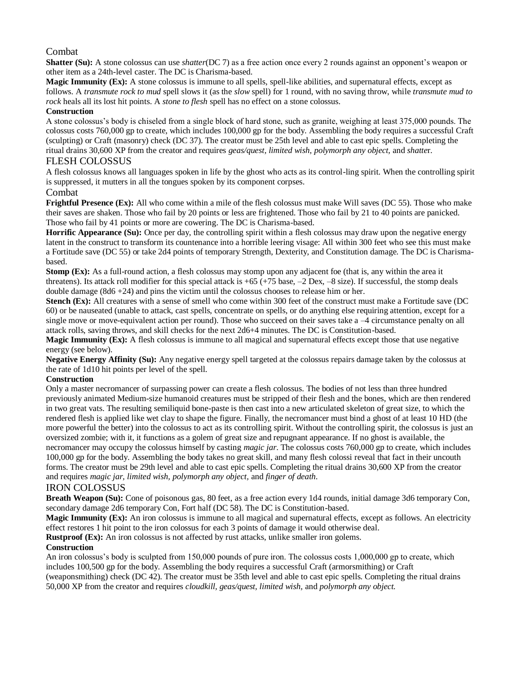### Combat

**Shatter (Su):** A stone colossus can use *shatter*(DC 7) as a free action once every 2 rounds against an opponent's weapon or other item as a 24th-level caster. The DC is Charisma-based.

**Magic Immunity (Ex):** A stone colossus is immune to all spells, spell-like abilities, and supernatural effects, except as follows. A *transmute rock to mud* spell slows it (as the *slow* spell) for 1 round, with no saving throw, while *transmute mud to rock* heals all its lost hit points. A *stone to flesh* spell has no effect on a stone colossus.

### **Construction**

A stone colossus's body is chiseled from a single block of hard stone, such as granite, weighing at least 375,000 pounds. The colossus costs 760,000 gp to create, which includes 100,000 gp for the body. Assembling the body requires a successful Craft (sculpting) or Craft (masonry) check (DC 37). The creator must be 25th level and able to cast epic spells. Completing the ritual drains 30,600 XP from the creator and requires *geas/quest, limited wish, polymorph any object,* and *shatte*r.

### FLESH COLOSSUS

A flesh colossus knows all languages spoken in life by the ghost who acts as its control-ling spirit. When the controlling spirit is suppressed, it mutters in all the tongues spoken by its component corpses.

### Combat

**Frightful Presence (Ex):** All who come within a mile of the flesh colossus must make Will saves (DC 55). Those who make their saves are shaken. Those who fail by 20 points or less are frightened. Those who fail by 21 to 40 points are panicked. Those who fail by 41 points or more are cowering. The DC is Charisma-based.

**Horrific Appearance (Su):** Once per day, the controlling spirit within a flesh colossus may draw upon the negative energy latent in the construct to transform its countenance into a horrible leering visage: All within 300 feet who see this must make a Fortitude save (DC 55) or take 2d4 points of temporary Strength, Dexterity, and Constitution damage. The DC is Charismabased.

**Stomp (Ex):** As a full-round action, a flesh colossus may stomp upon any adjacent foe (that is, any within the area it threatens). Its attack roll modifier for this special attack is +65 (+75 base, –2 Dex, –8 size). If successful, the stomp deals double damage  $(8d6 + 24)$  and pins the victim until the colossus chooses to release him or her.

**Stench (Ex):** All creatures with a sense of smell who come within 300 feet of the construct must make a Fortitude save (DC) 60) or be nauseated (unable to attack, cast spells, concentrate on spells, or do anything else requiring attention, except for a single move or move-equivalent action per round). Those who succeed on their saves take a –4 circumstance penalty on all attack rolls, saving throws, and skill checks for the next 2d6+4 minutes. The DC is Constitution-based.

**Magic Immunity (Ex):** A flesh colossus is immune to all magical and supernatural effects except those that use negative energy (see below).

**Negative Energy Affinity (Su):** Any negative energy spell targeted at the colossus repairs damage taken by the colossus at the rate of 1d10 hit points per level of the spell.

### **Construction**

Only a master necromancer of surpassing power can create a flesh colossus. The bodies of not less than three hundred previously animated Medium-size humanoid creatures must be stripped of their flesh and the bones, which are then rendered in two great vats. The resulting semiliquid bone-paste is then cast into a new articulated skeleton of great size, to which the rendered flesh is applied like wet clay to shape the figure. Finally, the necromancer must bind a ghost of at least 10 HD (the more powerful the better) into the colossus to act as its controlling spirit. Without the controlling spirit, the colossus is just an oversized zombie; with it, it functions as a golem of great size and repugnant appearance. If no ghost is available, the necromancer may occupy the colossus himself by casting *magic jar*. The colossus costs 760,000 gp to create, which includes 100,000 gp for the body. Assembling the body takes no great skill, and many flesh colossi reveal that fact in their uncouth forms. The creator must be 29th level and able to cast epic spells. Completing the ritual drains 30,600 XP from the creator and requires *magic jar, limited wish, polymorph any object,* and *finger of death*.

### IRON COLOSSUS

**Breath Weapon (Su):** Cone of poisonous gas, 80 feet, as a free action every 1d4 rounds, initial damage 3d6 temporary Con, secondary damage 2d6 temporary Con, Fort half (DC 58). The DC is Constitution-based.

**Magic Immunity (Ex):** An iron colossus is immune to all magical and supernatural effects, except as follows. An electricity effect restores 1 hit point to the iron colossus for each 3 points of damage it would otherwise deal.

**Rustproof (Ex):** An iron colossus is not affected by rust attacks, unlike smaller iron golems.

### **Construction**

An iron colossus's body is sculpted from 150,000 pounds of pure iron. The colossus costs 1,000,000 gp to create, which includes 100,500 gp for the body. Assembling the body requires a successful Craft (armorsmithing) or Craft (weaponsmithing) check (DC 42). The creator must be 35th level and able to cast epic spells. Completing the ritual drains 50,000 XP from the creator and requires *cloudkill, geas/quest, limited wish,* and *polymorph any object.*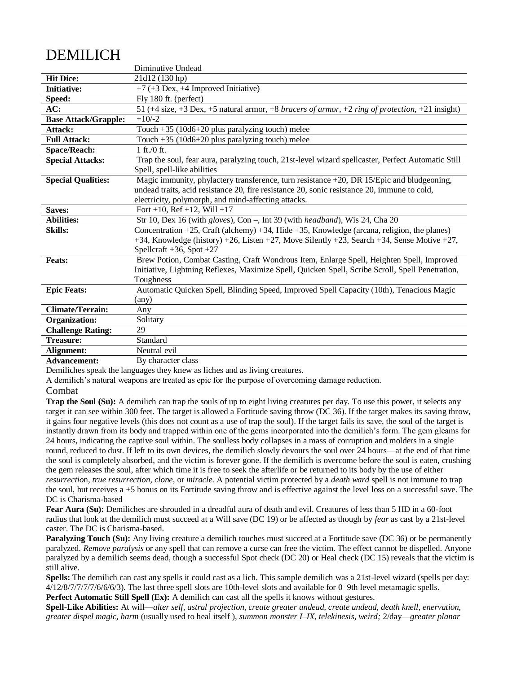# DEMILICH

|                                  | Diminutive Undead                                                                                   |
|----------------------------------|-----------------------------------------------------------------------------------------------------|
| <b>Hit Dice:</b>                 | 21d12 (130 hp)                                                                                      |
| <b>Initiative:</b>               | $+7$ (+3 Dex, +4 Improved Initiative)                                                               |
| Speed:                           | Fly 180 ft. (perfect)                                                                               |
| AC:                              | 51 (+4 size, +3 Dex, +5 natural armor, +8 bracers of armor, +2 ring of protection, +21 insight)     |
| <b>Base Attack/Grapple:</b>      | $+10/-2$                                                                                            |
| Attack:                          | Touch $+35$ (10d6+20 plus paralyzing touch) melee                                                   |
| <b>Full Attack:</b>              | Touch +35 (10d6+20 plus paralyzing touch) melee                                                     |
| <b>Space/Reach:</b>              | 1 ft. / 0 ft.                                                                                       |
| <b>Special Attacks:</b>          | Trap the soul, fear aura, paralyzing touch, 21st-level wizard spellcaster, Perfect Automatic Still  |
|                                  | Spell, spell-like abilities                                                                         |
| <b>Special Qualities:</b>        | Magic immunity, phylactery transference, turn resistance +20, DR 15/Epic and bludgeoning,           |
|                                  | undead traits, acid resistance 20, fire resistance 20, sonic resistance 20, immune to cold,         |
|                                  | electricity, polymorph, and mind-affecting attacks.                                                 |
| Saves:                           | Fort +10, Ref +12, Will +17                                                                         |
| <b>Abilities:</b>                | Str 10, Dex 16 (with gloves), Con -, Int 39 (with headband), Wis 24, Cha 20                         |
| <b>Skills:</b>                   | Concentration $+25$ , Craft (alchemy) $+34$ , Hide $+35$ , Knowledge (arcana, religion, the planes) |
|                                  | +34, Knowledge (history) +26, Listen +27, Move Silently +23, Search +34, Sense Motive +27,          |
|                                  | Spellcraft $+36$ , Spot $+27$                                                                       |
| <b>Feats:</b>                    | Brew Potion, Combat Casting, Craft Wondrous Item, Enlarge Spell, Heighten Spell, Improved           |
|                                  | Initiative, Lightning Reflexes, Maximize Spell, Quicken Spell, Scribe Scroll, Spell Penetration,    |
|                                  | Toughness                                                                                           |
| <b>Epic Feats:</b>               | Automatic Quicken Spell, Blinding Speed, Improved Spell Capacity (10th), Tenacious Magic            |
|                                  | (any)                                                                                               |
| <b>Climate/Terrain:</b>          | Any                                                                                                 |
| Organization:                    | Solitary                                                                                            |
| <b>Challenge Rating:</b>         | 29                                                                                                  |
| <b>Treasure:</b>                 | Standard                                                                                            |
| Alignment:                       | Neutral evil                                                                                        |
| $\Delta$ algebras a agreement of | $D_{\tau}$ , also no atom algoo                                                                     |

**Advancement:** By character class

Demiliches speak the languages they knew as liches and as living creatures.

A demilich's natural weapons are treated as epic for the purpose of overcoming damage reduction.

#### Combat

**Trap the Soul (Su):** A demilich can trap the souls of up to eight living creatures per day. To use this power, it selects any target it can see within 300 feet. The target is allowed a Fortitude saving throw (DC 36). If the target makes its saving throw, it gains four negative levels (this does not count as a use of trap the soul). If the target fails its save, the soul of the target is instantly drawn from its body and trapped within one of the gems incorporated into the demilich's form. The gem gleams for 24 hours, indicating the captive soul within. The soulless body collapses in a mass of corruption and molders in a single round, reduced to dust. If left to its own devices, the demilich slowly devours the soul over 24 hours—at the end of that time the soul is completely absorbed, and the victim is forever gone. If the demilich is overcome before the soul is eaten, crushing the gem releases the soul, after which time it is free to seek the afterlife or be returned to its body by the use of either *resurrectio*n, *true resurrection, clone,* or *miracle.* A potential victim protected by a *death ward* spell is not immune to trap the soul, but receives a +5 bonus on its Fortitude saving throw and is effective against the level loss on a successful save. The DC is Charisma-based

**Fear Aura (Su):** Demiliches are shrouded in a dreadful aura of death and evil. Creatures of less than 5 HD in a 60-foot radius that look at the demilich must succeed at a Will save (DC 19) or be affected as though by *fear* as cast by a 21st-level caster. The DC is Charisma-based.

**Paralyzing Touch (Su):** Any living creature a demilich touches must succeed at a Fortitude save (DC 36) or be permanently paralyzed. *Remove paralysis* or any spell that can remove a curse can free the victim. The effect cannot be dispelled. Anyone paralyzed by a demilich seems dead, though a successful Spot check (DC 20) or Heal check (DC 15) reveals that the victim is still alive.

**Spells:** The demilich can cast any spells it could cast as a lich. This sample demilich was a 21st-level wizard (spells per day: 4/12/8/7/7/7/7/6/6/6/3). The last three spell slots are 10th-level slots and available for 0–9th level metamagic spells. **Perfect Automatic Still Spell (Ex):** A demilich can cast all the spells it knows without gestures.

**Spell-Like Abilities:** At will—*alter self, astral projection, create greater undead, create undead, death knell, enervation, greater dispel magic, harm* (usually used to heal itself ), *summon monster I–IX, telekinesis, weird;* 2/day—*greater planar*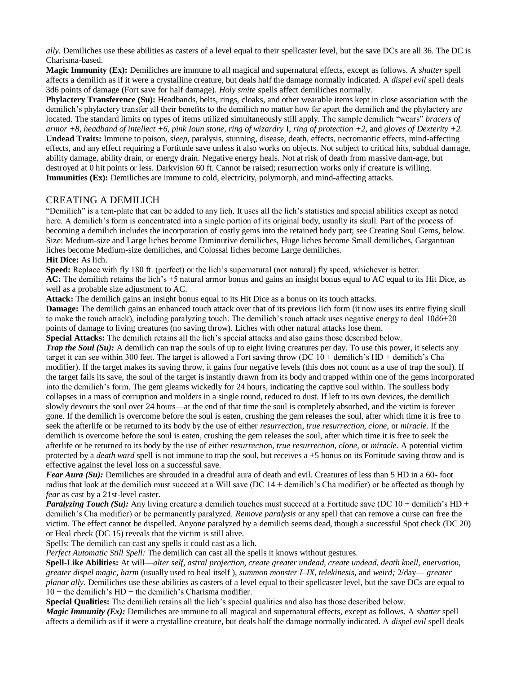*ally.* Demiliches use these abilities as casters of a level equal to their spellcaster level, but the save DCs are all 36. The DC is Charisma-based.

**Magic Immunity (Ex):** Demiliches are immune to all magical and supernatural effects, except as follows. A *shatter* spell affects a demilich as if it were a crystalline creature, but deals half the damage normally indicated. A *dispel evil* spell deals 3d6 points of damage (Fort save for half damage). *Holy smite* spells affect demiliches normally.

**Phylactery Transference (Su):** Headbands, belts, rings, cloaks, and other wearable items kept in close association with the demilich's phylactery transfer all their benefits to the demilich no matter how far apart the demilich and the phylactery are located. The standard limits on types of items utilized simultaneously still apply. The sample demilich "wears" *bracers of armor +8, headband of intellect +6, pink Ioun stone, ring of wizardry* I, *ring of protection +2,* and *gloves of Dexterity +2.*  **Undead Traits:** Immune to poison, *sleep,* paralysis, stunning, disease, death, effects, necromantic effects, mind-affecting effects, and any effect requiring a Fortitude save unless it also works on objects. Not subject to critical hits, subdual damage, ability damage, ability drain, or energy drain. Negative energy heals. Not at risk of death from massive dam-age, but destroyed at 0 hit points or less. Darkvision 60 ft. Cannot be raised; resurrection works only if creature is willing. **Immunities (Ex):** Demiliches are immune to cold, electricity, polymorph, and mind-affecting attacks.

### CREATING A DEMILICH

"Demilich" is a tem-plate that can be added to any lich. It uses all the lich's statistics and special abilities except as noted here. A demilich's form is concentrated into a single portion of its original body, usually its skull. Part of the process of becoming a demilich includes the incorporation of costly gems into the retained body part; see Creating Soul Gems, below. Size: Medium-size and Large liches become Diminutive demiliches, Huge liches become Small demiliches, Gargantuan liches become Medium-size demiliches, and Colossal liches become Large demiliches. **Hit Dice:** As lich.

**Speed:** Replace with fly 180 ft. (perfect) or the lich's supernatural (not natural) fly speed, whichever is better.

**AC:** The demilich retains the lich's +5 natural armor bonus and gains an insight bonus equal to AC equal to its Hit Dice, as well as a probable size adjustment to AC.

**Attack:** The demilich gains an insight bonus equal to its Hit Dice as a bonus on its touch attacks.

**Damage:** The demilich gains an enhanced touch attack over that of its previous lich form (it now uses its entire flying skull to make the touch attack), including paralyzing touch. The demilich's touch attack uses negative energy to deal 10d6+20 points of damage to living creatures (no saving throw). Liches with other natural attacks lose them.

**Special Attacks:** The demilich retains all the lich's special attacks and also gains those described below.

*Trap the Soul (Su):* A demilich can trap the souls of up to eight living creatures per day. To use this power, it selects any target it can see within 300 feet. The target is allowed a Fort saving throw (DC  $10 +$  demilich's HD + demilich's Cha modifier). If the target makes its saving throw, it gains four negative levels (this does not count as a use of trap the soul). If the target fails its save, the soul of the target is instantly drawn from its body and trapped within one of the gems incorporated into the demilich's form. The gem gleams wickedly for 24 hours, indicating the captive soul within. The soulless body collapses in a mass of corruption and molders in a single round, reduced to dust. If left to its own devices, the demilich slowly devours the soul over 24 hours—at the end of that time the soul is completely absorbed, and the victim is forever gone. If the demilich is overcome before the soul is eaten, crushing the gem releases the soul, after which time it is free to seek the afterlife or be returned to its body by the use of either *resurrectio*n, *true resurrection, clone,* or *miracle.* If the demilich is overcome before the soul is eaten, crushing the gem releases the soul, after which time it is free to seek the afterlife or be returned to its body by the use of either *resurrectio*n, *true resurrection, clone,* or *miracle.* A potential victim protected by a *death ward* spell is not immune to trap the soul, but receives a +5 bonus on its Fortitude saving throw and is effective against the level loss on a successful save.

*Fear Aura (Su):* Demiliches are shrouded in a dreadful aura of death and evil. Creatures of less than 5 HD in a 60- foot radius that look at the demilich must succeed at a Will save (DC  $14 +$  demilich's Cha modifier) or be affected as though by *fear* as cast by a 21st-level caster.

*Paralyzing Touch (Su):* Any living creature a demilich touches must succeed at a Fortitude save (DC 10 + demilich's HD + demilich's Cha modifier) or be permanently paralyzed. *Remove paralysis* or any spell that can remove a curse can free the victim. The effect cannot be dispelled. Anyone paralyzed by a demilich seems dead, though a successful Spot check (DC 20) or Heal check (DC 15) reveals that the victim is still alive.

Spells: The demilich can cast any spells it could cast as a lich.

*Perfect Automatic Still Spell:* The demilich can cast all the spells it knows without gestures.

**Spell-Like Abilities:** At will—*alter self, astral projection, create greater undead, create undead, death knell, enervation, greater dispel magic, harm* (usually used to heal itself ), *summon monster I–IX, telekinesis,* and *weird;* 2/day— *greater planar ally.* Demiliches use these abilities as casters of a level equal to their spellcaster level, but the save DCs are equal to  $10 +$  the demilich's HD + the demilich's Charisma modifier.

**Special Qualities:** The demilich retains all the lich's special qualities and also has those described below. *Magic Immunity (Ex):* Demiliches are immune to all magical and supernatural effects, except as follows. A *shatter* spell affects a demilich as if it were a crystalline creature, but deals half the damage normally indicated. A *dispel evil* spell deals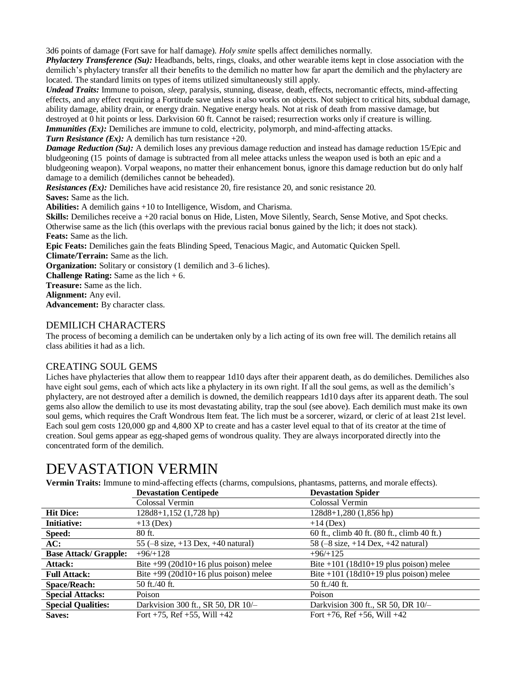3d6 points of damage (Fort save for half damage). *Holy smite* spells affect demiliches normally.

*Phylactery Transference (Su):* Headbands, belts, rings, cloaks, and other wearable items kept in close association with the demilich's phylactery transfer all their benefits to the demilich no matter how far apart the demilich and the phylactery are located. The standard limits on types of items utilized simultaneously still apply.

*Undead Traits:* Immune to poison, *sleep,* paralysis, stunning, disease, death, effects, necromantic effects, mind-affecting effects, and any effect requiring a Fortitude save unless it also works on objects. Not subject to critical hits, subdual damage, ability damage, ability drain, or energy drain. Negative energy heals. Not at risk of death from massive damage, but destroyed at 0 hit points or less. Darkvision 60 ft. Cannot be raised; resurrection works only if creature is willing.

*Immunities (Ex):* Demiliches are immune to cold, electricity, polymorph, and mind-affecting attacks.

*Turn Resistance (Ex):* A demilich has turn resistance +20.

*Damage Reduction (Su):* A demilich loses any previous damage reduction and instead has damage reduction 15/Epic and bludgeoning (15 points of damage is subtracted from all melee attacks unless the weapon used is both an epic and a bludgeoning weapon). Vorpal weapons, no matter their enhancement bonus, ignore this damage reduction but do only half damage to a demilich (demiliches cannot be beheaded).

*Resistances (Ex):* Demiliches have acid resistance 20, fire resistance 20, and sonic resistance 20. **Saves:** Same as the lich.

**Abilities:** A demilich gains +10 to Intelligence, Wisdom, and Charisma.

**Skills:** Demiliches receive a +20 racial bonus on Hide, Listen, Move Silently, Search, Sense Motive, and Spot checks. Otherwise same as the lich (this overlaps with the previous racial bonus gained by the lich; it does not stack). **Feats:** Same as the lich.

**Epic Feats:** Demiliches gain the feats Blinding Speed, Tenacious Magic, and Automatic Quicken Spell.

**Climate/Terrain:** Same as the lich.

**Organization:** Solitary or consistory (1 demilich and 3–6 liches).

**Challenge Rating:** Same as the lich + 6.

**Treasure:** Same as the lich.

**Alignment:** Any evil.

**Advancement:** By character class.

### DEMILICH CHARACTERS

The process of becoming a demilich can be undertaken only by a lich acting of its own free will. The demilich retains all class abilities it had as a lich.

### CREATING SOUL GEMS

Liches have phylacteries that allow them to reappear 1d10 days after their apparent death, as do demiliches. Demiliches also have eight soul gems, each of which acts like a phylactery in its own right. If all the soul gems, as well as the demilich's phylactery, are not destroyed after a demilich is downed, the demilich reappears 1d10 days after its apparent death. The soul gems also allow the demilich to use its most devastating ability, trap the soul (see above). Each demilich must make its own soul gems, which requires the Craft Wondrous Item feat. The lich must be a sorcerer, wizard, or cleric of at least 21st level. Each soul gem costs 120,000 gp and 4,800 XP to create and has a caster level equal to that of its creator at the time of creation. Soul gems appear as egg-shaped gems of wondrous quality. They are always incorporated directly into the concentrated form of the demilich.

### DEVASTATION VERMIN

**Vermin Traits:** Immune to mind-affecting effects (charms, compulsions, phantasms, patterns, and morale effects).

|                              | <b>Devastation Centipede</b>                                 | <b>Devastation Spider</b>                                    |
|------------------------------|--------------------------------------------------------------|--------------------------------------------------------------|
|                              | Colossal Vermin                                              | Colossal Vermin                                              |
| <b>Hit Dice:</b>             | 128d8+1,152 (1,728 hp)                                       | $128d8+1,280(1,856$ hp)                                      |
| <b>Initiative:</b>           | $+13$ (Dex)                                                  | $+14$ (Dex)                                                  |
| Speed:                       | $80$ ft.                                                     | 60 ft., climb 40 ft. (80 ft., climb 40 ft.)                  |
| AC:                          | 55 $(-8 \text{ size}, +13 \text{ Dev}, +40 \text{ natural})$ | 58 $(-8 \text{ size}, +14 \text{ Dev}, +42 \text{ natural})$ |
| <b>Base Attack/ Grapple:</b> | $+96/+128$                                                   | $+96/+125$                                                   |
| Attack:                      | Bite $+99$ (20d10+16 plus poison) melee                      | Bite $+101$ (18d10+19 plus poison) melee                     |
| <b>Full Attack:</b>          | Bite $+99$ (20d10+16 plus poison) melee                      | Bite $+101$ (18d10+19 plus poison) melee                     |
| <b>Space/Reach:</b>          | 50 ft./40 ft.                                                | 50 ft./40 ft.                                                |
| <b>Special Attacks:</b>      | Poison                                                       | Poison                                                       |
| <b>Special Qualities:</b>    | Darkvision 300 ft., SR 50, DR 10/-                           | Darkvision 300 ft., SR 50, DR 10/-                           |
| Saves:                       | Fort $+75$ , Ref $+55$ , Will $+42$                          | Fort +76, Ref +56, Will +42                                  |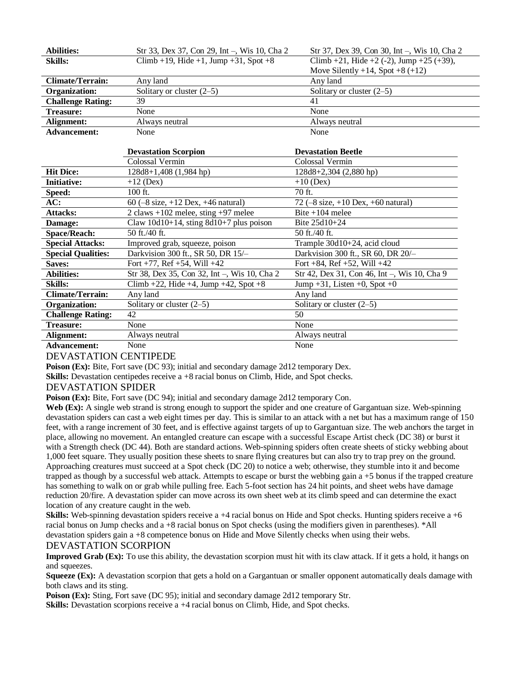| <b>Abilities:</b>         | Str 33, Dex 37, Con 29, Int -, Wis 10, Cha 2                 | Str 37, Dex 39, Con 30, Int -, Wis 10, Cha 2                 |
|---------------------------|--------------------------------------------------------------|--------------------------------------------------------------|
| <b>Skills:</b>            | Climb +19, Hide +1, Jump +31, Spot +8                        | Climb +21, Hide +2 (-2), Jump +25 (+39),                     |
|                           |                                                              | Move Silently $+14$ , Spot $+8$ ( $+12$ )                    |
| <b>Climate/Terrain:</b>   | Any land                                                     | Any land                                                     |
| Organization:             | Solitary or cluster $(2-5)$                                  | Solitary or cluster $(2-5)$                                  |
| <b>Challenge Rating:</b>  | 39                                                           | 41                                                           |
| <b>Treasure:</b>          | None                                                         | None                                                         |
| Alignment:                | Always neutral                                               | Always neutral                                               |
| <b>Advancement:</b>       | None                                                         | None                                                         |
|                           |                                                              |                                                              |
|                           | <b>Devastation Scorpion</b>                                  | <b>Devastation Beetle</b>                                    |
|                           | Colossal Vermin                                              | Colossal Vermin                                              |
| <b>Hit Dice:</b>          | 128d8+1,408 (1,984 hp)                                       | 128d8+2,304 (2,880 hp)                                       |
| <b>Initiative:</b>        | $+12$ (Dex)                                                  | $+10$ (Dex)                                                  |
| Speed:                    | 100 ft.                                                      | 70 ft.                                                       |
| AC:                       | 60 $(-8 \text{ size}, +12 \text{ Dev}, +46 \text{ natural})$ | 72 $(-8 \text{ size}, +10 \text{ Dev}, +60 \text{ natural})$ |
| <b>Attacks:</b>           | 2 claws $+102$ melee, sting $+97$ melee                      | Bite $+104$ melee                                            |
| Damage:                   | Claw $10d10+14$ , sting $8d10+7$ plus poison                 | Bite 25d10+24                                                |
| <b>Space/Reach:</b>       | 50 ft./40 ft.                                                | 50 ft./40 ft.                                                |
| <b>Special Attacks:</b>   | Improved grab, squeeze, poison                               | Trample 30d10+24, acid cloud                                 |
| <b>Special Qualities:</b> | Darkvision 300 ft., SR 50, DR 15/-                           | Darkvision 300 ft., SR 60, DR 20/-                           |
| Saves:                    | Fort $+77$ , Ref $+54$ , Will $+42$                          | Fort $+84$ , Ref $+52$ , Will $+42$                          |
| <b>Abilities:</b>         | Str 38, Dex 35, Con 32, Int -, Wis 10, Cha 2                 | Str 42, Dex 31, Con 46, Int -, Wis 10, Cha 9                 |
| <b>Skills:</b>            | Climb +22, Hide +4, Jump +42, Spot +8                        | Jump $+31$ , Listen $+0$ , Spot $+0$                         |
| <b>Climate/Terrain:</b>   | Any land                                                     | Any land                                                     |
| Organization:             | Solitary or cluster $(2-5)$                                  | Solitary or cluster $(2-5)$                                  |

### Advancement: None None None None

### DEVASTATION CENTIPEDE

**Poison (Ex):** Bite, Fort save (DC 93); initial and secondary damage 2d12 temporary Dex.

**Alignment:** Always neutral Always neutral

**Challenge Rating:** 42 50 Treasure: None None None

**Skills:** Devastation centipedes receive a +8 racial bonus on Climb, Hide, and Spot checks.

### DEVASTATION SPIDER

**Poison (Ex):** Bite, Fort save (DC 94); initial and secondary damage 2d12 temporary Con.

Web (Ex): A single web strand is strong enough to support the spider and one creature of Gargantuan size. Web-spinning devastation spiders can cast a web eight times per day. This is similar to an attack with a net but has a maximum range of 150 feet, with a range increment of 30 feet, and is effective against targets of up to Gargantuan size. The web anchors the target in place, allowing no movement. An entangled creature can escape with a successful Escape Artist check (DC 38) or burst it with a Strength check (DC 44). Both are standard actions. Web-spinning spiders often create sheets of sticky webbing about 1,000 feet square. They usually position these sheets to snare flying creatures but can also try to trap prey on the ground. Approaching creatures must succeed at a Spot check (DC 20) to notice a web; otherwise, they stumble into it and become trapped as though by a successful web attack. Attempts to escape or burst the webbing gain a +5 bonus if the trapped creature has something to walk on or grab while pulling free. Each 5-foot section has 24 hit points, and sheet webs have damage reduction 20/fire. A devastation spider can move across its own sheet web at its climb speed and can determine the exact location of any creature caught in the web.

**Skills:** Web-spinning devastation spiders receive a +4 racial bonus on Hide and Spot checks. Hunting spiders receive a +6 racial bonus on Jump checks and a +8 racial bonus on Spot checks (using the modifiers given in parentheses). \*All devastation spiders gain a +8 competence bonus on Hide and Move Silently checks when using their webs.

### DEVASTATION SCORPION

**Improved Grab (Ex):** To use this ability, the devastation scorpion must hit with its claw attack. If it gets a hold, it hangs on and squeezes.

**Squeeze (Ex):** A devastation scorpion that gets a hold on a Gargantuan or smaller opponent automatically deals damage with both claws and its sting.

**Poison (Ex):** Sting, Fort save (DC 95); initial and secondary damage 2d12 temporary Str.

**Skills:** Devastation scorpions receive a +4 racial bonus on Climb, Hide, and Spot checks.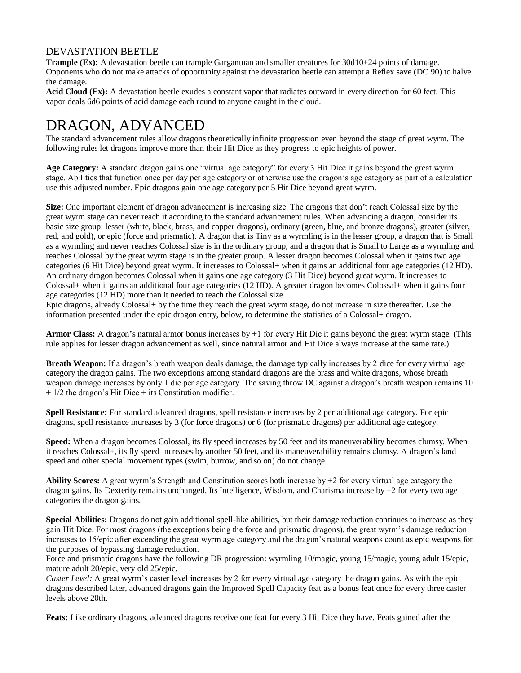### DEVASTATION BEETLE

**Trample (Ex):** A devastation beetle can trample Gargantuan and smaller creatures for 30d10+24 points of damage. Opponents who do not make attacks of opportunity against the devastation beetle can attempt a Reflex save (DC 90) to halve the damage.

**Acid Cloud (Ex):** A devastation beetle exudes a constant vapor that radiates outward in every direction for 60 feet. This vapor deals 6d6 points of acid damage each round to anyone caught in the cloud.

# DRAGON, ADVANCED

The standard advancement rules allow dragons theoretically infinite progression even beyond the stage of great wyrm. The following rules let dragons improve more than their Hit Dice as they progress to epic heights of power.

**Age Category:** A standard dragon gains one "virtual age category" for every 3 Hit Dice it gains beyond the great wyrm stage. Abilities that function once per day per age category or otherwise use the dragon's age category as part of a calculation use this adjusted number. Epic dragons gain one age category per 5 Hit Dice beyond great wyrm.

**Size:** One important element of dragon advancement is increasing size. The dragons that don't reach Colossal size by the great wyrm stage can never reach it according to the standard advancement rules. When advancing a dragon, consider its basic size group: lesser (white, black, brass, and copper dragons), ordinary (green, blue, and bronze dragons), greater (silver, red, and gold), or epic (force and prismatic). A dragon that is Tiny as a wyrmling is in the lesser group, a dragon that is Small as a wyrmling and never reaches Colossal size is in the ordinary group, and a dragon that is Small to Large as a wyrmling and reaches Colossal by the great wyrm stage is in the greater group. A lesser dragon becomes Colossal when it gains two age categories (6 Hit Dice) beyond great wyrm. It increases to Colossal+ when it gains an additional four age categories (12 HD). An ordinary dragon becomes Colossal when it gains one age category (3 Hit Dice) beyond great wyrm. It increases to Colossal+ when it gains an additional four age categories (12 HD). A greater dragon becomes Colossal+ when it gains four age categories (12 HD) more than it needed to reach the Colossal size.

Epic dragons, already Colossal+ by the time they reach the great wyrm stage, do not increase in size thereafter. Use the information presented under the epic dragon entry, below, to determine the statistics of a Colossal+ dragon.

**Armor Class:** A dragon's natural armor bonus increases by +1 for every Hit Die it gains beyond the great wyrm stage. (This rule applies for lesser dragon advancement as well, since natural armor and Hit Dice always increase at the same rate.)

**Breath Weapon:** If a dragon's breath weapon deals damage, the damage typically increases by 2 dice for every virtual age category the dragon gains. The two exceptions among standard dragons are the brass and white dragons, whose breath weapon damage increases by only 1 die per age category. The saving throw DC against a dragon's breath weapon remains 10 + 1/2 the dragon's Hit Dice + its Constitution modifier.

**Spell Resistance:** For standard advanced dragons, spell resistance increases by 2 per additional age category. For epic dragons, spell resistance increases by 3 (for force dragons) or 6 (for prismatic dragons) per additional age category.

**Speed:** When a dragon becomes Colossal, its fly speed increases by 50 feet and its maneuverability becomes clumsy. When it reaches Colossal+, its fly speed increases by another 50 feet, and its maneuverability remains clumsy. A dragon's land speed and other special movement types (swim, burrow, and so on) do not change.

**Ability Scores:** A great wyrm's Strength and Constitution scores both increase by +2 for every virtual age category the dragon gains. Its Dexterity remains unchanged. Its Intelligence, Wisdom, and Charisma increase by +2 for every two age categories the dragon gains.

**Special Abilities:** Dragons do not gain additional spell-like abilities, but their damage reduction continues to increase as they gain Hit Dice. For most dragons (the exceptions being the force and prismatic dragons), the great wyrm's damage reduction increases to 15/epic after exceeding the great wyrm age category and the dragon's natural weapons count as epic weapons for the purposes of bypassing damage reduction.

Force and prismatic dragons have the following DR progression: wyrmling 10/magic, young 15/magic, young adult 15/epic, mature adult 20/epic, very old 25/epic.

*Caster Level:* A great wyrm's caster level increases by 2 for every virtual age category the dragon gains. As with the epic dragons described later, advanced dragons gain the Improved Spell Capacity feat as a bonus feat once for every three caster levels above 20th.

**Feats:** Like ordinary dragons, advanced dragons receive one feat for every 3 Hit Dice they have. Feats gained after the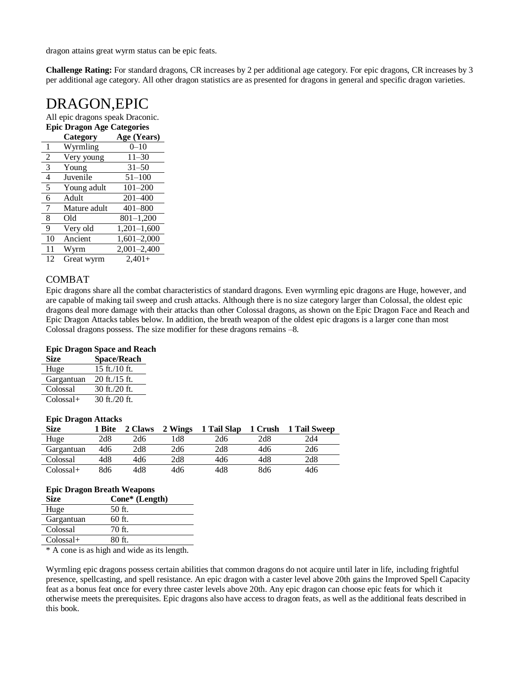dragon attains great wyrm status can be epic feats.

**Challenge Rating:** For standard dragons, CR increases by 2 per additional age category. For epic dragons, CR increases by 3 per additional age category. All other dragon statistics are as presented for dragons in general and specific dragon varieties.

### DRAGON,EPIC

All epic dragons speak Draconic.

### **Epic Dragon Age Categories**

|                | Category     | Age (Years)     |
|----------------|--------------|-----------------|
| 1              | Wyrmling     | $0 - 10$        |
| $\overline{2}$ | Very young   | $11 - 30$       |
| 3              | Young        | $31 - 50$       |
| 4              | Juvenile     | $51 - 100$      |
| 5              | Young adult  | $101 - 200$     |
| 6              | Adult        | $201 - 400$     |
| 7              | Mature adult | $401 - 800$     |
| 8              | Old          | $801 - 1,200$   |
| 9              | Very old     | $1,201-1,600$   |
| 10             | Ancient      | $1,601-2,000$   |
| 11             | Wyrm         | $2,001 - 2,400$ |
| 12             | Great wyrm   | $2,401+$        |

### COMBAT

Epic dragons share all the combat characteristics of standard dragons*.* Even wyrmling epic dragons are Huge, however, and are capable of making tail sweep and crush attacks. Although there is no size category larger than Colossal, the oldest epic dragons deal more damage with their attacks than other Colossal dragons, as shown on the Epic Dragon Face and Reach and Epic Dragon Attacks tables below. In addition, the breath weapon of the oldest epic dragons is a larger cone than most Colossal dragons possess. The size modifier for these dragons remains –8.

### **Epic Dragon Space and Reach**

| <b>Size</b> | <b>Space/Reach</b> |
|-------------|--------------------|
| Huge        | $15$ ft./10 ft.    |
| Gargantuan  | $20$ ft./15 ft.    |
| Colossal    | 30 ft./20 ft.      |
| $Colossal+$ | 30 ft./20 ft.      |

#### **Epic Dragon Attacks**

| <b>Size</b> | 1 Bite | 2 Claws | 2 Wings | 1 Tail Slap | 1 Crush | 1 Tail Sweep |
|-------------|--------|---------|---------|-------------|---------|--------------|
| Huge        | 2d8    | 2d6     | 1d8     | 2d6         | 2d8     | 2d4          |
| Gargantuan  | 4d6    | 2d8     | 2d6     | 2d8         | 4d6     | 2d6          |
| Colossal    | 4d8    | 4d6     | 2d8     | 4d6         | 4d8     | 2d8          |
| $Colossal+$ | 8d6    | 4d8     | 4d6     | 4d8         | 8d6     | 4d6          |

|             | <b>Epic Dragon Breath Weapons</b>       |  |  |  |  |  |  |  |  |
|-------------|-----------------------------------------|--|--|--|--|--|--|--|--|
| <b>Size</b> | Cone* (Length)                          |  |  |  |  |  |  |  |  |
| Huge        | 50 ft.                                  |  |  |  |  |  |  |  |  |
| Gargantuan  | 60 ft.                                  |  |  |  |  |  |  |  |  |
| Colossal    | $70$ ft.                                |  |  |  |  |  |  |  |  |
| $Colossal+$ | 80 ft.                                  |  |  |  |  |  |  |  |  |
| $-1$        | $\cdots$<br>.<br>$\mathbf{r}$<br>$\sim$ |  |  |  |  |  |  |  |  |

\* A cone is as high and wide as its length.

Wyrmling epic dragons possess certain abilities that common dragons do not acquire until later in life, including frightful presence, spellcasting, and spell resistance. An epic dragon with a caster level above 20th gains the Improved Spell Capacity feat as a bonus feat once for every three caster levels above 20th. Any epic dragon can choose epic feats for which it otherwise meets the prerequisites. Epic dragons also have access to dragon feats*,* as well as the additional feats described in this book.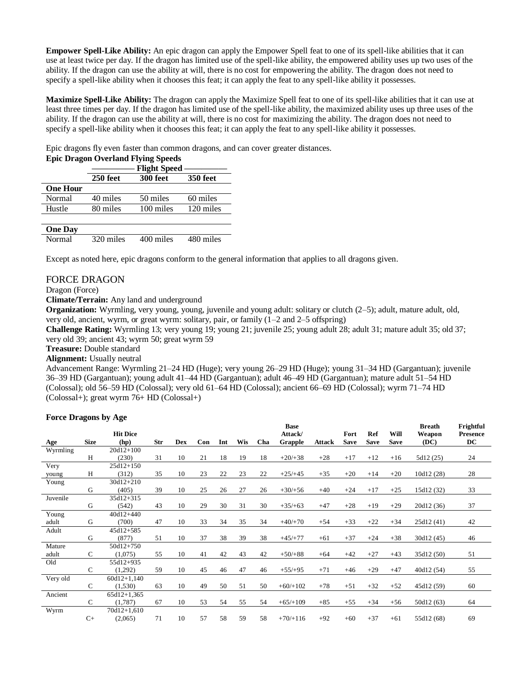**Empower Spell-Like Ability:** An epic dragon can apply the Empower Spell feat to one of its spell-like abilities that it can use at least twice per day. If the dragon has limited use of the spell-like ability, the empowered ability uses up two uses of the ability. If the dragon can use the ability at will, there is no cost for empowering the ability. The dragon does not need to specify a spell-like ability when it chooses this feat; it can apply the feat to any spell-like ability it possesses.

**Maximize Spell-Like Ability:** The dragon can apply the Maximize Spell feat to one of its spell-like abilities that it can use at least three times per day. If the dragon has limited use of the spell-like ability, the maximized ability uses up three uses of the ability. If the dragon can use the ability at will, there is no cost for maximizing the ability. The dragon does not need to specify a spell-like ability when it chooses this feat; it can apply the feat to any spell-like ability it possesses.

Epic dragons fly even faster than common dragons, and can cover greater distances.

|                 | <b>Epic Dragon Overland Flying Speeds</b><br><b>Flight Speed</b> |           |                 |  |  |  |  |  |  |  |
|-----------------|------------------------------------------------------------------|-----------|-----------------|--|--|--|--|--|--|--|
|                 | 250 feet                                                         | 300 feet  | <b>350 feet</b> |  |  |  |  |  |  |  |
| <b>One Hour</b> |                                                                  |           |                 |  |  |  |  |  |  |  |
| Normal          | 40 miles                                                         | 50 miles  | 60 miles        |  |  |  |  |  |  |  |
| Hustle          | 80 miles                                                         | 100 miles | 120 miles       |  |  |  |  |  |  |  |
| <b>One Day</b>  |                                                                  |           |                 |  |  |  |  |  |  |  |

| <b>UIIC DAY</b> |           |           |           |
|-----------------|-----------|-----------|-----------|
| Normal          | 320 miles | 400 miles | 480 miles |

Except as noted here, epic dragons conform to the general information that applies to all dragons given*.*

### FORCE DRAGON

Dragon (Force)

**Climate/Terrain:** Any land and underground

**Organization:** Wyrmling, very young, young, juvenile and young adult: solitary or clutch (2–5); adult, mature adult, old, very old, ancient, wyrm, or great wyrm: solitary, pair, or family (1–2 and 2–5 offspring)

**Challenge Rating:** Wyrmling 13; very young 19; young 21; juvenile 25; young adult 28; adult 31; mature adult 35; old 37; very old 39; ancient 43; wyrm 50; great wyrm 59

**Treasure:** Double standard

### **Alignment:** Usually neutral

Advancement Range: Wyrmling 21–24 HD (Huge); very young 26–29 HD (Huge); young 31–34 HD (Gargantuan); juvenile 36–39 HD (Gargantuan); young adult 41–44 HD (Gargantuan); adult 46–49 HD (Gargantuan); mature adult 51–54 HD (Colossal); old 56–59 HD (Colossal); very old 61–64 HD (Colossal); ancient 66–69 HD (Colossal); wyrm 71–74 HD (Colossal+); great wyrm 76+ HD (Colossal+)

#### **Force Dragons by Age**

|          |               |                 |     |            |     |     |            |     | <b>Base</b> |               |             |             |             | <b>Breath</b> | Frightful       |
|----------|---------------|-----------------|-----|------------|-----|-----|------------|-----|-------------|---------------|-------------|-------------|-------------|---------------|-----------------|
|          |               | <b>Hit Dice</b> |     |            |     |     |            |     | Attack/     |               | Fort        | Ref         | Will        | Weapon        | <b>Presence</b> |
| Age      | <b>Size</b>   | (hp)            | Str | <b>Dex</b> | Con | Int | <b>Wis</b> | Cha | Grapple     | <b>Attack</b> | <b>Save</b> | <b>Save</b> | <b>Save</b> | (DC)          | DC              |
| Wyrmling |               | $20d12+100$     |     |            |     |     |            |     |             |               |             |             |             |               |                 |
|          | H             | (230)           | 31  | 10         | 21  | 18  | 19         | 18  | $+20/+38$   | $+28$         | $+17$       | $+12$       | $+16$       | 5d12 (25)     | 24              |
| Very     |               | $25d12+150$     |     |            |     |     |            |     |             |               |             |             |             |               |                 |
| young    | Н             | (312)           | 35  | 10         | 23  | 22  | 23         | 22  | $+25/+45$   | $+35$         | $+20$       | $+14$       | $+20$       | 10d12 (28)    | 28              |
| Young    |               | $30d12 + 210$   |     |            |     |     |            |     |             |               |             |             |             |               |                 |
|          | G             | (405)           | 39  | 10         | 25  | 26  | 27         | 26  | $+30/+56$   | $+40$         | $+24$       | $+17$       | $+25$       | 15d12 (32)    | 33              |
| Juvenile |               | 35d12+315       |     |            |     |     |            |     |             |               |             |             |             |               |                 |
|          | G             | (542)           | 43  | 10         | 29  | 30  | 31         | 30  | $+35/+63$   | $+47$         | $+28$       | $+19$       | $+29$       | 20d12 (36)    | 37              |
| Young    |               | $40d12+440$     |     |            |     |     |            |     |             |               |             |             |             |               |                 |
| adult    | G             | (700)           | 47  | 10         | 33  | 34  | 35         | 34  | $+40/+70$   | $+54$         | $+33$       | $+22$       | $+34$       | 25d12 (41)    | 42              |
| Adult    |               | $45d12+585$     |     |            |     |     |            |     |             |               |             |             |             |               |                 |
|          | G             | (877)           | 51  | 10         | 37  | 38  | 39         | 38  | $+45/+77$   | $+61$         | $+37$       | $+24$       | $+38$       | 30d12 (45)    | 46              |
| Mature   |               | 50d12+750       |     |            |     |     |            |     |             |               |             |             |             |               |                 |
| adult    | $\mathsf{C}$  | (1,075)         | 55  | 10         | 41  | 42  | 43         | 42  | $+50/+88$   | $+64$         | $+42$       | $+27$       | $+43$       | 35d12 (50)    | 51              |
| Old      |               | 55d12+935       |     |            |     |     |            |     |             |               |             |             |             |               |                 |
|          | $\mathsf{C}$  | (1,292)         | 59  | 10         | 45  | 46  | 47         | 46  | $+55/+95$   | $+71$         | $+46$       | $+29$       | $+47$       | 40d12 (54)    | 55              |
| Very old |               | $60d12+1,140$   |     |            |     |     |            |     |             |               |             |             |             |               |                 |
|          | $\mathcal{C}$ | (1,530)         | 63  | 10         | 49  | 50  | 51         | 50  | $+60/+102$  | $+78$         | $+51$       | $+32$       | $+52$       | 45d12 (59)    | 60              |
| Ancient  |               | $65d12+1,365$   |     |            |     |     |            |     |             |               |             |             |             |               |                 |
|          | $\mathcal{C}$ | (1,787)         | 67  | 10         | 53  | 54  | 55         | 54  | $+65/+109$  | $+85$         | $+55$       | $+34$       | $+56$       | 50d12 (63)    | 64              |
| Wyrm     |               | $70d12+1,610$   |     |            |     |     |            |     |             |               |             |             |             |               |                 |
|          | $C+$          | (2,065)         | 71  | 10         | 57  | 58  | 59         | 58  | $+70/+116$  | $+92$         | $+60$       | $+37$       | $+61$       | 55d12 (68)    | 69              |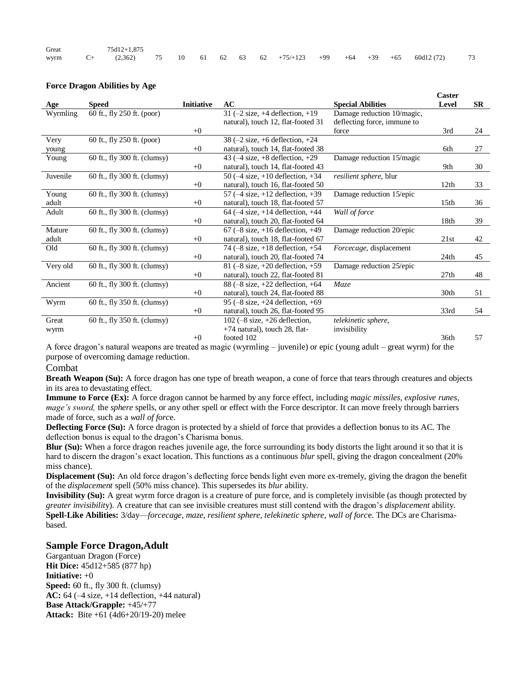| Great | 75d12+1.875 |  |  |  |  |  |                                                                          |  |
|-------|-------------|--|--|--|--|--|--------------------------------------------------------------------------|--|
|       |             |  |  |  |  |  | wyrm C+ (2,362) 75 10 61 62 63 62 +75/+123 +99 +64 +39 +65 60d12 (72) 73 |  |

#### **Force Dragon Abilities by Age**

|          |                              |                   |                                                     |                             | Caster           |           |
|----------|------------------------------|-------------------|-----------------------------------------------------|-----------------------------|------------------|-----------|
| Age      | <b>Speed</b>                 | <b>Initiative</b> | AC                                                  | <b>Special Abilities</b>    | Level            | <b>SR</b> |
| Wyrmling | 60 ft., fly 250 ft. (poor)   |                   | 31 $(-2$ size, $+4$ deflection, $+19$               | Damage reduction 10/magic,  |                  |           |
|          |                              |                   | natural), touch 12, flat-footed 31                  | deflecting force, immune to |                  |           |
|          |                              | $+0$              |                                                     | force                       | 3rd              | 24        |
| Very     | 60 ft., fly 250 ft. (poor)   |                   | $38$ (-2 size, +6 deflection, +24                   |                             |                  |           |
| young    |                              | $+0$              | natural), touch 14, flat-footed 38                  |                             | 6th              | 27        |
| Young    | 60 ft., fly 300 ft. (clumsy) |                   | 43 $(-4 \text{ size}, +8 \text{ deflection}, +29)$  | Damage reduction 15/magic   |                  |           |
|          |                              | $+0$              | natural), touch 14, flat-footed 43                  |                             | 9th              | 30        |
| Juvenile | 60 ft., fly 300 ft. (clumsy) |                   | 50 $(-4 \text{ size}, +10 \text{ deflection}, +34)$ | resilient sphere, blur      |                  |           |
|          |                              | $+0$              | natural), touch 16, flat-footed 50                  |                             | 12th             | 33        |
| Young    | 60 ft., fly 300 ft. (clumsy) |                   | 57 ( $-4$ size, $+12$ deflection, $+39$             | Damage reduction 15/epic    |                  |           |
| adult    |                              | $+0$              | natural), touch 18, flat-footed 57                  |                             | 15 <sub>th</sub> | 36        |
| Adult    | 60 ft., fly 300 ft. (clumsy) |                   | 64 $(-4 \text{ size}, +14 \text{ deflection}, +44$  | Wall of force               |                  |           |
|          |                              | $+0$              | natural), touch 20, flat-footed 64                  |                             | 18th             | 39        |
| Mature   | 60 ft., fly 300 ft. (clumsy) |                   | $67$ (-8 size, +16 deflection, +49)                 | Damage reduction 20/epic    |                  |           |
| adult    |                              | $+0$              | natural), touch 18, flat-footed 67                  |                             | 21st             | 42        |
| Old      | 60 ft., fly 300 ft. (clumsy) |                   | 74 $(-8 \text{ size}, +18 \text{ deflection}, +54)$ | Forcecage, displacement     |                  |           |
|          |                              | $+0$              | natural), touch 20, flat-footed 74                  |                             | 24th             | 45        |
| Very old | 60 ft., fly 300 ft. (clumsy) |                   | 81 $(-8 \text{ size}, +20 \text{ deflection}, +59$  | Damage reduction 25/epic    |                  |           |
|          |                              | $+0$              | natural), touch 22, flat-footed 81                  |                             | 27th             | 48        |
| Ancient  | 60 ft., fly 300 ft. (clumsy) |                   | 88 $(-8 \text{ size}, +22 \text{ deflection}, +64$  | Maze                        |                  |           |
|          |                              | $+0$              | natural), touch 24, flat-footed 88                  |                             | 30th             | 51        |
| Wyrm     | 60 ft., fly 350 ft. (clumsy) |                   | 95 $(-8 \text{ size}, +24 \text{ deflection}, +69$  |                             |                  |           |
|          |                              | $+0$              | natural), touch 26, flat-footed 95                  |                             | 33rd             | 54        |
| Great    | 60 ft., fly 350 ft. (clumsy) |                   | 102 $(-8 \text{ size}, +26 \text{ deflection})$     | telekinetic sphere,         |                  |           |
| wyrm     |                              |                   | $+74$ natural), touch 28, flat-                     | invisibility                |                  |           |
|          |                              | $+0$              | footed 102                                          |                             | 36th             | 57        |

A force dragon's natural weapons are treated as magic (wyrmling – juvenile) or epic (young adult – great wyrm) for the purpose of overcoming damage reduction.

#### Combat

**Breath Weapon (Su):** A force dragon has one type of breath weapon, a cone of force that tears through creatures and objects in its area to devastating effect.

**Immune to Force (Ex):** A force dragon cannot be harmed by any force effect, including *magic missiles, explosive runes, mage's sword,* the *sphere* spells, or any other spell or effect with the Force descriptor. It can move freely through barriers made of force, such as a *wall of forc*e.

**Deflecting Force (Su):** A force dragon is protected by a shield of force that provides a deflection bonus to its AC. The deflection bonus is equal to the dragon's Charisma bonus.

**Blur (Su):** When a force dragon reaches juvenile age, the force surrounding its body distorts the light around it so that it is hard to discern the dragon's exact location. This functions as a continuous *blur* spell, giving the dragon concealment (20% miss chance).

**Displacement (Su):** An old force dragon's deflecting force bends light even more ex-tremely, giving the dragon the benefit of the *displacement* spell (50% miss chance). This supersedes its *blur* ability.

**Invisibility (Su):** A great wyrm force dragon is a creature of pure force, and is completely invisible (as though protected by *greater invisibilit*y). A creature that can see invisible creatures must still contend with the dragon's *displacement* ability. **Spell-Like Abilities:** 3/day—*forcecage, maze, resilient sphere, telekinetic sphere, wall of forc*e. The DCs are Charismabased.

### **Sample Force Dragon,Adult**

Gargantuan Dragon (Force) **Hit Dice:** 45d12+585 (877 hp) **Initiative:** +0 **Speed:** 60 ft., fly 300 ft. (clumsy) **AC:** 64 (–4 size, +14 deflection, +44 natural) **Base Attack/Grapple:** +45/+77 **Attack:** Bite +61 (4d6+20/19-20) melee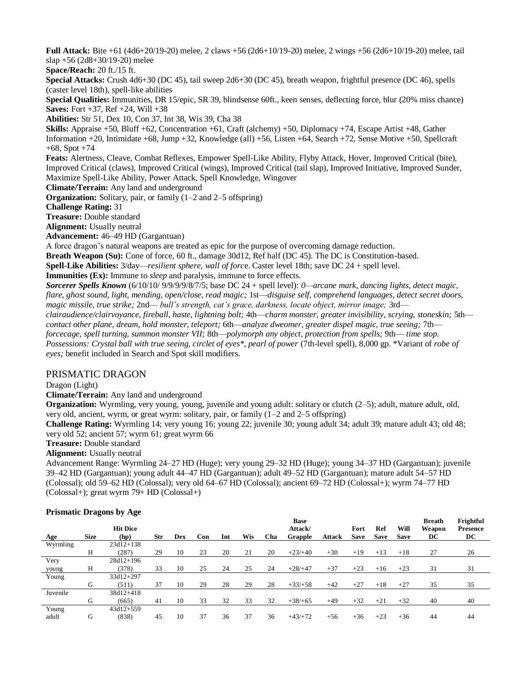**Full Attack:** Bite +61 (4d6+20/19-20) melee, 2 claws +56 (2d6+10/19-20) melee, 2 wings +56 (2d6+10/19-20) melee, tail slap +56 (2d8+30/19-20) melee

**Space/Reach:** 20 ft./15 ft.

**Special Attacks:** Crush 4d6+30 (DC 45), tail sweep 2d6+30 (DC 45), breath weapon, frightful presence (DC 46), spells (caster level 18th), spell-like abilities

**Special Qualities:** Immunities, DR 15/epic, SR 39, blindsense 60ft., keen senses, deflecting force, blur (20% miss chance) **Saves:** Fort +37, Ref +24, Will +38

**Abilities:** Str 51, Dex 10, Con 37, Int 38, Wis 39, Cha 38

**Skills:** Appraise +50, Bluff +62, Concentration +61, Craft (alchemy) +50, Diplomacy +74, Escape Artist +48, Gather Information +20, Intimidate +68, Jump +32, Knowledge (all) +56, Listen +64, Search +72, Sense Motive +50, Spellcraft  $+68$ , Spot  $+74$ 

**Feats:** Alertness, Cleave, Combat Reflexes, Empower Spell-Like Ability, Flyby Attack, Hover, Improved Critical (bite), Improved Critical (claws), Improved Critical (wings), Improved Critical (tail slap), Improved Initiative, Improved Sunder, Maximize Spell-Like Ability, Power Attack, Spell Knowledge, Wingover

**Climate/Terrain:** Any land and underground

**Organization:** Solitary, pair, or family (1–2 and 2–5 offspring)

**Challenge Rating:** 31

**Treasure:** Double standard

**Alignment:** Usually neutral

**Advancement:** 46–49 HD (Gargantuan)

A force dragon's natural weapons are treated as epic for the purpose of overcoming damage reduction.

**Breath Weapon (Su):** Cone of force, 60 ft., damage 30d12, Ref half (DC 45). The DC is Constitution-based.

**Spell-Like Abilities:** 3/day—*resilient sphere, wall of forc*e. Caster level 18th; save DC 24 + spell level.

**Immunities (Ex):** Immune to *sleep* and paralysis, immune to force effects.

*Sorcerer Spells Known* (6/10/10/ 9/9/9/9/8/7/5; base DC 24 + spell level): *0—arcane mark, dancing lights, detect magic, flare, ghost sound, light, mending, open/close, read magic;* 1st—*disguise self, comprehend languages, detect secret doors, magic missile, true strike;* 2nd— *bull's strength, cat's grace, darkness, locate object, mirror image;* 3rd *clairaudience/clairvoyance, fireball, haste, lightning bolt;* 4th—*charm monster, greater invisibility, scrying, stoneskin;* 5th *contact other plane, dream, hold monster, teleport;* 6th—*analyze dweomer, greater dispel magic, true seeing;* 7th *forcecage, spell turning, summon monster VII;* 8th—*polymorph any object, protection from spells;* 9th— *time stop. Possessions: Crystal ball with true seeing, circlet of eyes\*, pearl of power* (7th-level spell), 8,000 gp. \*Variant of *robe of eyes;* benefit included in Search and Spot skill modifiers.

### PRISMATIC DRAGON

Dragon (Light)

**Climate/Terrain:** Any land and underground

**Organization:** Wyrmling, very young, young, juvenile and young adult: solitary or clutch (2–5); adult, mature adult, old, very old, ancient, wyrm, or great wyrm: solitary, pair, or family (1–2 and 2–5 offspring)

**Challenge Rating:** Wyrmling 14; very young 16; young 22; juvenile 30; young adult 34; adult 39; mature adult 43; old 48; very old 52; ancient 57; wyrm 61; great wyrm 66

**Treasure:** Double standard

**Alignment:** Usually neutral

Advancement Range: Wyrmling 24–27 HD (Huge); very young 29–32 HD (Huge); young 34–37 HD (Gargantuan); juvenile 39–42 HD (Gargantuan); young adult 44–47 HD (Gargantuan); adult 49–52 HD (Gargantuan); mature adult 54–57 HD (Colossal); old 59–62 HD (Colossal); very old 64–67 HD (Colossal); ancient 69–72 HD (Colossal+); wyrm 74–77 HD (Colossal+); great wyrm 79+ HD (Colossal+)

|          |             | <b>Hit Dice</b> |     |     |     |     |     |     | <b>Base</b><br>Attack/ |               | Fort        | Ref         | Will        | <b>Breath</b><br>Weapon | Frightful<br><b>Presence</b> |
|----------|-------------|-----------------|-----|-----|-----|-----|-----|-----|------------------------|---------------|-------------|-------------|-------------|-------------------------|------------------------------|
| Age      | <b>Size</b> | (hp)            | Str | Dex | Con | Int | Wis | Cha | Grapple                | <b>Attack</b> | <b>Save</b> | <b>Save</b> | <b>Save</b> | DC                      | DC                           |
| Wyrmling |             | $23d12+138$     |     |     |     |     |     |     |                        |               |             |             |             |                         |                              |
|          | Н           | (287)           | 29  | 10  | 23  | 20  | 21  | 20  | $+23/+40$              | $+30$         | $+19$       | $+13$       | $+18$       | 27                      | 26                           |
| Very     |             | $28d12+196$     |     |     |     |     |     |     |                        |               |             |             |             |                         |                              |
| young    | Н           | (378)           | 33  | 10  | 25  | 24  | 25  | 24  | $+28/+47$              | $+37$         | $+23$       | $+16$       | $+23$       | 31                      | 31                           |
| Young    |             | 33d12+297       |     |     |     |     |     |     |                        |               |             |             |             |                         |                              |
|          | G           | (511)           | 37  | 10  | 29  | 28  | 29  | 28  | $+33/+58$              | $+42$         | $+27$       | $+18$       | $+27$       | 35                      | 35                           |
| Juvenile |             | 38d12+418       |     |     |     |     |     |     |                        |               |             |             |             |                         |                              |
|          | G           | (665)           | 41  | 10  | 33  | 32  | 33  | 32  | $+38/+65$              | $+49$         | $+32$       | $+21$       | $+32$       | 40                      | 40                           |
| Young    |             | $43d12+559$     |     |     |     |     |     |     |                        |               |             |             |             |                         |                              |
| adult    | G           | (838)           | 45  | 10  | 37  | 36  | 37  | 36  | $+43/+72$              | $+56$         | $+36$       | $+23$       | $+36$       | 44                      | 44                           |

### **Prismatic Dragons by Age**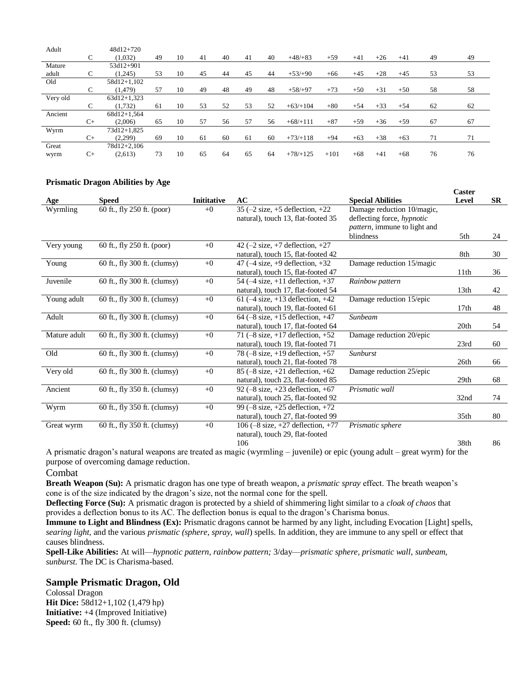| Adult    |      | $48d12+720$   |    |    |    |    |    |    |            |        |       |       |       |    |    |
|----------|------|---------------|----|----|----|----|----|----|------------|--------|-------|-------|-------|----|----|
|          | C    | (1,032)       | 49 | 10 | 41 | 40 | 41 | 40 | $+48/+83$  | $+59$  | $+41$ | $+26$ | $+41$ | 49 | 49 |
| Mature   |      | 53d12+901     |    |    |    |    |    |    |            |        |       |       |       |    |    |
| adult    | C    | (1.245)       | 53 | 10 | 45 | 44 | 45 | 44 | $+53/+90$  | $+66$  | $+45$ | $+28$ | $+45$ | 53 | 53 |
| Old      |      | 58d12+1,102   |    |    |    |    |    |    |            |        |       |       |       |    |    |
|          | C    | (1, 479)      | 57 | 10 | 49 | 48 | 49 | 48 | $+58/+97$  | $+73$  | $+50$ | $+31$ | $+50$ | 58 | 58 |
| Very old |      | $63d12+1.323$ |    |    |    |    |    |    |            |        |       |       |       |    |    |
|          | C    | (1,732)       | 61 | 10 | 53 | 52 | 53 | 52 | $+63/+104$ | $+80$  | $+54$ | $+33$ | $+54$ | 62 | 62 |
| Ancient  |      | 68d12+1.564   |    |    |    |    |    |    |            |        |       |       |       |    |    |
|          | $C+$ | (2,006)       | 65 | 10 | 57 | 56 | 57 | 56 | $+68/+111$ | $+87$  | $+59$ | $+36$ | $+59$ | 67 | 67 |
| Wyrm     |      | 73d12+1,825   |    |    |    |    |    |    |            |        |       |       |       |    |    |
|          | $C+$ | (2,299)       | 69 | 10 | 61 | 60 | 61 | 60 | $+73/+118$ | $+94$  | $+63$ | $+38$ | $+63$ | 71 | 71 |
| Great    |      | 78d12+2,106   |    |    |    |    |    |    |            |        |       |       |       |    |    |
| wyrm     | $C+$ | (2,613)       | 73 | 10 | 65 | 64 | 65 | 64 | $+78/+125$ | $+101$ | $+68$ | $+41$ | $+68$ | 76 | 76 |

### **Prismatic Dragon Abilities by Age**

|              |                              |                    |                                                     |                                   | Caster           |           |
|--------------|------------------------------|--------------------|-----------------------------------------------------|-----------------------------------|------------------|-----------|
| Age          | <b>Speed</b>                 | <b>Inititative</b> | AC                                                  | <b>Special Abilities</b>          | Level            | <b>SR</b> |
| Wyrmling     | 60 ft., fly 250 ft. (poor)   | $+0$               | 35 $(-2$ size, $+5$ deflection, $+22$               | Damage reduction 10/magic,        |                  |           |
|              |                              |                    | natural), touch 13, flat-footed 35                  | deflecting force, <i>hypnotic</i> |                  |           |
|              |                              |                    |                                                     | pattern, immune to light and      |                  |           |
|              |                              |                    |                                                     | blindness                         | 5th              | 24        |
| Very young   | 60 ft., fly 250 ft. (poor)   | $+0$               | 42 $(-2 \text{ size}, +7 \text{ deflection}, +27)$  |                                   |                  |           |
|              |                              |                    | natural), touch 15, flat-footed 42                  |                                   | 8th              | 30        |
| Young        | 60 ft., fly 300 ft. (clumsy) | $+0$               | 47 ( $-4$ size, $+9$ deflection, $+32$              | Damage reduction 15/magic         |                  |           |
|              |                              |                    | natural), touch 15, flat-footed 47                  |                                   | 11 <sup>th</sup> | 36        |
| Juvenile     | 60 ft., fly 300 ft. (clumsy) | $+0$               | 54 $(-4 \text{ size}, +11 \text{ deflection}, +37$  | Rainbow pattern                   |                  |           |
|              |                              |                    | natural), touch 17, flat-footed 54                  |                                   | 13 <sub>th</sub> | 42        |
| Young adult  | 60 ft., fly 300 ft. (clumsy) | $+0$               | 61 ( $-4$ size, $+13$ deflection, $+42$             | Damage reduction 15/epic          |                  |           |
|              |                              |                    | natural), touch 19, flat-footed 61                  |                                   | 17th             | 48        |
| Adult        | 60 ft., fly 300 ft. (clumsy) | $+0$               | $64$ (-8 size, +15 deflection, +47                  | Sunbeam                           |                  |           |
|              |                              |                    | natural), touch 17, flat-footed 64                  |                                   | 20th             | 54        |
| Mature adult | 60 ft., fly 300 ft. (clumsy) | $+0$               | 71 $(-8 \text{ size}, +17 \text{ deflection}, +52$  | Damage reduction 20/epic          |                  |           |
|              |                              |                    | natural), touch 19, flat-footed 71                  |                                   | 23rd             | 60        |
| Old          | 60 ft., fly 300 ft. (clumsy) | $+0$               | 78 $(-8 \text{ size}, +19 \text{ deflection}, +57$  | <b>Sunburst</b>                   |                  |           |
|              |                              |                    | natural), touch 21, flat-footed 78                  |                                   | 26th             | 66        |
| Very old     | 60 ft., fly 300 ft. (clumsy) | $+0$               | 85 ( $-8$ size, $+21$ deflection, $+62$             | Damage reduction 25/epic          |                  |           |
|              |                              |                    | natural), touch 23, flat-footed 85                  |                                   | 29th             | 68        |
| Ancient      | 60 ft., fly 350 ft. (clumsy) | $+0$               | 92 $(-8 \text{ size}, +23 \text{ deflection}, +67$  | Prismatic wall                    |                  |           |
|              |                              |                    | natural), touch 25, flat-footed 92                  |                                   | 32nd             | 74        |
| Wyrm         | 60 ft., fly 350 ft. (clumsy) | $+0$               | 99 $(-8 \text{ size.} +25 \text{ deflection.} +72)$ |                                   |                  |           |
|              |                              |                    | natural), touch 27, flat-footed 99                  |                                   | 35th             | 80        |
| Great wyrm   | 60 ft., fly 350 ft. (clumsy) | $+0$               | 106 ( $-8$ size, $+27$ deflection, $+77$            | Prismatic sphere                  |                  |           |
|              |                              |                    | natural), touch 29, flat-footed                     |                                   |                  |           |
|              |                              |                    | 106                                                 |                                   | 38th             | 86        |

A prismatic dragon's natural weapons are treated as magic (wyrmling – juvenile) or epic (young adult – great wyrm) for the purpose of overcoming damage reduction.

Combat

**Breath Weapon (Su):** A prismatic dragon has one type of breath weapon, a *prismatic spray* effect. The breath weapon's cone is of the size indicated by the dragon's size, not the normal cone for the spell.

**Deflecting Force (Su):** A prismatic dragon is protected by a shield of shimmering light similar to a *cloak of chaos* that provides a deflection bonus to its AC. The deflection bonus is equal to the dragon's Charisma bonus.

**Immune to Light and Blindness (Ex):** Prismatic dragons cannot be harmed by any light, including Evocation [Light] spells, *searing light,* and the various *prismatic (sphere, spray, wall*) spells. In addition, they are immune to any spell or effect that causes blindness.

**Spell-Like Abilities:** At will—*hypnotic pattern, rainbow pattern;* 3/day—*prismatic sphere, prismatic wall, sunbeam, sunburst.* The DC is Charisma-based.

### **Sample Prismatic Dragon, Old**

Colossal Dragon **Hit Dice:** 58d12+1,102 (1,479 hp) **Initiative:** +4 (Improved Initiative) **Speed:** 60 ft., fly 300 ft. (clumsy)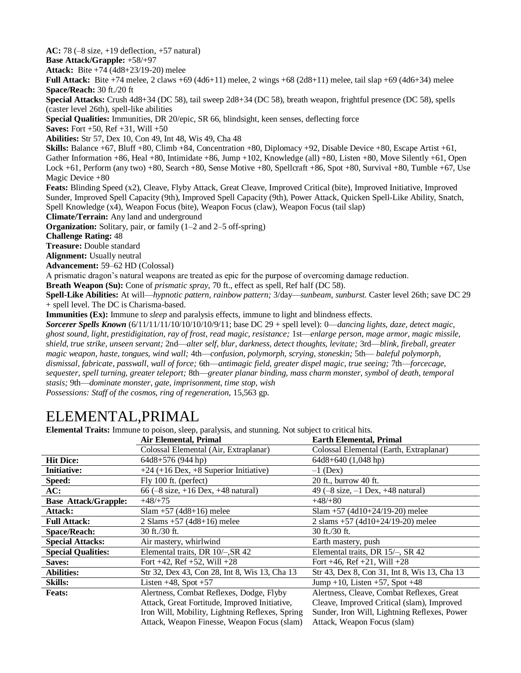**AC:** 78 (–8 size, +19 deflection, +57 natural) **Base Attack/Grapple:** +58/+97 **Attack:** Bite +74 (4d8+23/19-20) melee **Full Attack:** Bite +74 melee, 2 claws +69 (4d6+11) melee, 2 wings +68 (2d8+11) melee, tail slap +69 (4d6+34) melee **Space/Reach:** 30 ft./20 ft **Special Attacks:** Crush 4d8+34 (DC 58), tail sweep 2d8+34 (DC 58), breath weapon, frightful presence (DC 58), spells (caster level 26th), spell-like abilities **Special Qualities:** Immunities, DR 20/epic, SR 66, blindsight, keen senses, deflecting force **Saves:** Fort +50, Ref +31, Will +50 **Abilities:** Str 57, Dex 10, Con 49, Int 48, Wis 49, Cha 48 **Skills:** Balance +67, Bluff +80, Climb +84, Concentration +80, Diplomacy +92, Disable Device +80, Escape Artist +61, Gather Information +86, Heal +80, Intimidate +86, Jump +102, Knowledge (all) +80, Listen +80, Move Silently +61, Open Lock  $+61$ , Perform (any two)  $+80$ , Search  $+80$ , Sense Motive  $+80$ , Spellcraft  $+86$ , Spot  $+80$ , Survival  $+80$ , Tumble  $+67$ , Use Magic Device +80 **Feats:** Blinding Speed (x2), Cleave, Flyby Attack, Great Cleave, Improved Critical (bite), Improved Initiative, Improved Sunder, Improved Spell Capacity (9th), Improved Spell Capacity (9th), Power Attack, Quicken Spell-Like Ability, Snatch, Spell Knowledge (x4), Weapon Focus (bite), Weapon Focus (claw), Weapon Focus (tail slap) **Climate/Terrain:** Any land and underground **Organization:** Solitary, pair, or family (1–2 and 2–5 off-spring) **Challenge Rating:** 48 **Treasure:** Double standard **Alignment:** Usually neutral **Advancement:** 59–62 HD (Colossal) A prismatic dragon's natural weapons are treated as epic for the purpose of overcoming damage reduction. **Breath Weapon (Su):** Cone of *prismatic spray,* 70 ft., effect as spell, Ref half (DC 58). **Spell-Like Abilities:** At will—*hypnotic pattern, rainbow pattern;* 3/day—*sunbeam, sunburst.* Caster level 26th; save DC 29 + spell level. The DC is Charisma-based. **Immunities (Ex):** Immune to *sleep* and paralysis effects, immune to light and blindness effects. *Sorcerer Spells Known* (6/11/11/11/10/10/10/10/9/11; base DC 29 + spell level): 0—*dancing lights, daze, detect magic, ghost sound, light, prestidigitation, ray of frost, read magic, resistance;* 1st—*enlarge person, mage armor, magic missile, shield, true strike, unseen servant;* 2nd—*alter self, blur, darkness, detect thoughts, levitate;* 3rd—*blink, fireball, greater magic weapon, haste, tongues, wind wall;* 4th—*confusion, polymorph, scrying, stoneskin;* 5th— *baleful polymorph, dismissal, fabricate, passwall, wall of force;* 6th—*antimagic field, greater dispel magic, true seeing;* 7th—*forcecage,* 

*sequester, spell turning, greater teleport;* 8th—*greater planar binding, mass charm monster, symbol of death, temporal stasis;* 9th—*dominate monster, gate, imprisonment, time stop, wish* 

*Possessions: Staff of the cosmos, ring of regeneration, 15,563 gp.* 

# ELEMENTAL,PRIMAL

**Elemental Traits:** Immune to poison, sleep, paralysis, and stunning. Not subject to critical hits.

|                             | <b>Extrem 22 MM/ Internet to political</b> , sleep, paralysis, and standing, 1700 sucpet to extrem miss<br><b>Air Elemental, Primal</b> | <b>Earth Elemental, Primal</b>                              |
|-----------------------------|-----------------------------------------------------------------------------------------------------------------------------------------|-------------------------------------------------------------|
|                             | Colossal Elemental (Air, Extraplanar)                                                                                                   | Colossal Elemental (Earth, Extraplanar)                     |
| <b>Hit Dice:</b>            | 64d8+576 (944 hp)                                                                                                                       | $64d8+640(1,048$ hp)                                        |
| <b>Initiative:</b>          | $+24 (+16$ Dex, $+8$ Superior Initiative)                                                                                               | $-1$ (Dex)                                                  |
| Speed:                      | $Fly$ 100 ft. (perfect)                                                                                                                 | 20 ft., burrow 40 ft.                                       |
| AC:                         | 66 $(-8 \text{ size}, +16 \text{ Dev}, +48 \text{ natural})$                                                                            | 49 $(-8 \text{ size}, -1 \text{ Dev}, +48 \text{ natural})$ |
| <b>Base Attack/Grapple:</b> | $+48/+75$                                                                                                                               | $+48/+80$                                                   |
| Attack:                     | $Slam + 57 (4d8 + 16)$ melee                                                                                                            | $Slam + 57 (4d10+24/19-20)$ melee                           |
| <b>Full Attack:</b>         | 2 Slams $+57$ (4d8+16) melee                                                                                                            | 2 slams $+57$ (4d10+24/19-20) melee                         |
| <b>Space/Reach:</b>         | 30 ft./30 ft.                                                                                                                           | 30 ft./30 ft.                                               |
| <b>Special Attacks:</b>     | Air mastery, whirlwind                                                                                                                  | Earth mastery, push                                         |
| <b>Special Qualities:</b>   | Elemental traits, DR 10/-, SR 42                                                                                                        | Elemental traits, DR 15/-, SR 42                            |
| Saves:                      | Fort $+42$ , Ref $+52$ , Will $+28$                                                                                                     | Fort $+46$ , Ref $+21$ , Will $+28$                         |
| <b>Abilities:</b>           | Str 32, Dex 43, Con 28, Int 8, Wis 13, Cha 13                                                                                           | Str 43, Dex 8, Con 31, Int 8, Wis 13, Cha 13                |
| <b>Skills:</b>              | Listen $+48$ , Spot $+57$                                                                                                               | Jump +10, Listen +57, Spot +48                              |
| <b>Feats:</b>               | Alertness, Combat Reflexes, Dodge, Flyby                                                                                                | Alertness, Cleave, Combat Reflexes, Great                   |
|                             | Attack, Great Fortitude, Improved Initiative,                                                                                           | Cleave, Improved Critical (slam), Improved                  |
|                             | Iron Will, Mobility, Lightning Reflexes, Spring                                                                                         | Sunder, Iron Will, Lightning Reflexes, Power                |
|                             | Attack, Weapon Finesse, Weapon Focus (slam)                                                                                             | Attack, Weapon Focus (slam)                                 |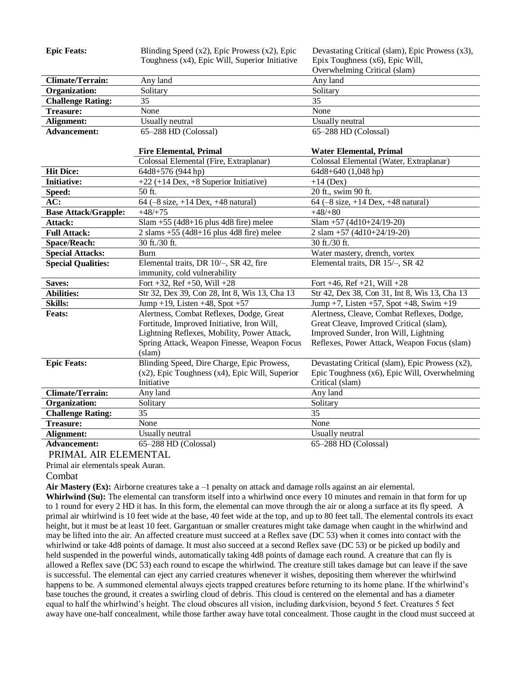| <b>Epic Feats:</b>          | Blinding Speed (x2), Epic Prowess (x2), Epic                           | Devastating Critical (slam), Epic Prowess (x3),              |
|-----------------------------|------------------------------------------------------------------------|--------------------------------------------------------------|
|                             | Toughness (x4), Epic Will, Superior Initiative                         | Epix Toughness (x6), Epic Will,                              |
|                             |                                                                        | Overwhelming Critical (slam)                                 |
| <b>Climate/Terrain:</b>     | Any land                                                               | Any land                                                     |
| Organization:               | Solitary                                                               | Solitary                                                     |
| <b>Challenge Rating:</b>    | $\overline{35}$                                                        | $\overline{35}$                                              |
| <b>Treasure:</b>            | None                                                                   | None                                                         |
| Alignment:                  | Usually neutral                                                        | <b>Usually</b> neutral                                       |
| <b>Advancement:</b>         | $65-288$ HD (Colossal)                                                 | 65-288 HD (Colossal)                                         |
|                             |                                                                        |                                                              |
|                             | <b>Fire Elemental, Primal</b>                                          | <b>Water Elemental, Primal</b>                               |
|                             | Colossal Elemental (Fire, Extraplanar)                                 | Colossal Elemental (Water, Extraplanar)                      |
| <b>Hit Dice:</b>            | 64d8+576 (944 hp)                                                      | $64d8+640(1,048$ hp)                                         |
| <b>Initiative:</b>          | $+22$ (+14 Dex, +8 Superior Initiative)                                | $+14$ (Dex)                                                  |
| Speed:                      | 50 ft.                                                                 | 20 ft., swim 90 ft.                                          |
| AC:                         | 64 (-8 size, +14 Dex, +48 natural)                                     | 64 $(-8 \text{ size}, +14 \text{ Dev}, +48 \text{ natural})$ |
| <b>Base Attack/Grapple:</b> | $+48/+75$                                                              | $+48/+80$                                                    |
| Attack:                     | $Slam + 55$ (4d8+16 plus 4d8 fire) melee                               | Slam +57 (4d10+24/19-20)                                     |
| <b>Full Attack:</b>         | $2 \text{ slams } +55 (4d8+16 \text{ plus } 4d8 \text{ fire})$ melee   | 2 slam +57 (4d10+24/19-20)                                   |
| <b>Space/Reach:</b>         | 30 ft./30 ft.                                                          | 30 ft./30 ft.                                                |
| <b>Special Attacks:</b>     | Burn                                                                   | Water mastery, drench, vortex                                |
| <b>Special Qualities:</b>   | Elemental traits, DR 10/-, SR 42, fire<br>immunity, cold vulnerability | Elemental traits, DR 15/-, SR 42                             |
| Saves:                      | Fort +32, Ref +50, Will +28                                            | Fort $+46$ , Ref $+21$ , Will $+28$                          |
| <b>Abilities:</b>           | Str 32, Dex 39, Con 28, Int 8, Wis 13, Cha 13                          | Str 42, Dex 38, Con 31, Int 8, Wis 13, Cha 13                |
| Skills:                     | Jump +19, Listen +48, Spot +57                                         | Jump +7, Listen +57, Spot +48, Swim +19                      |
| <b>Feats:</b>               | Alertness, Combat Reflexes, Dodge, Great                               | Alertness, Cleave, Combat Reflexes, Dodge,                   |
|                             | Fortitude, Improved Initiative, Iron Will,                             | Great Cleave, Improved Critical (slam),                      |
|                             | Lightning Reflexes, Mobility, Power Attack,                            | Improved Sunder, Iron Will, Lightning                        |
|                             | Spring Attack, Weapon Finesse, Weapon Focus                            | Reflexes, Power Attack, Weapon Focus (slam)                  |
|                             | $s$ lam $)$                                                            |                                                              |
| <b>Epic Feats:</b>          | Blinding Speed, Dire Charge, Epic Prowess,                             | Devastating Critical (slam), Epic Prowess (x2),              |
|                             | $(x2)$ , Epic Toughness $(x4)$ , Epic Will, Superior                   | Epic Toughness (x6), Epic Will, Overwhelming                 |
|                             | Initiative                                                             | Critical (slam)                                              |
| <b>Climate/Terrain:</b>     | Any land                                                               | Any land                                                     |
| <b>Organization:</b>        | Solitary                                                               | Solitary                                                     |
| <b>Challenge Rating:</b>    | 35                                                                     | $\overline{35}$                                              |
| <b>Treasure:</b>            | None                                                                   | None                                                         |
| Alignment:                  | Usually neutral                                                        | Usually neutral                                              |
| <b>Advancement:</b>         | $65-288$ HD (Colossal)                                                 | 65-288 HD (Colossal)                                         |

### PRIMAL AIR ELEMENTAL

Primal air elementals speak Auran.

### Combat

**Air Mastery (Ex):** Airborne creatures take a –1 penalty on attack and damage rolls against an air elemental.

**Whirlwind (Su):** The elemental can transform itself into a whirlwind once every 10 minutes and remain in that form for up to 1 round for every 2 HD it has. In this form, the elemental can move through the air or along a surface at its fly speed. A primal air whirlwind is 10 feet wide at the base, 40 feet wide at the top, and up to 80 feet tall. The elemental controls its exact height, but it must be at least 10 feet. Gargantuan or smaller creatures might take damage when caught in the whirlwind and may be lifted into the air. An affected creature must succeed at a Reflex save (DC 53) when it comes into contact with the whirlwind or take 4d8 points of damage. It must also succeed at a second Reflex save (DC 53) or be picked up bodily and held suspended in the powerful winds, automatically taking 4d8 points of damage each round. A creature that can fly is allowed a Reflex save (DC 53) each round to escape the whirlwind. The creature still takes damage but can leave if the save is successful. The elemental can eject any carried creatures whenever it wishes, depositing them wherever the whirlwind happens to be. A summoned elemental always ejects trapped creatures before returning to its home plane. If the whirlwind's base touches the ground, it creates a swirling cloud of debris. This cloud is centered on the elemental and has a diameter equal to half the whirlwind's height. The cloud obscures all vision, including darkvision, beyond 5 feet. Creatures 5 feet away have one-half concealment, while those farther away have total concealment. Those caught in the cloud must succeed at